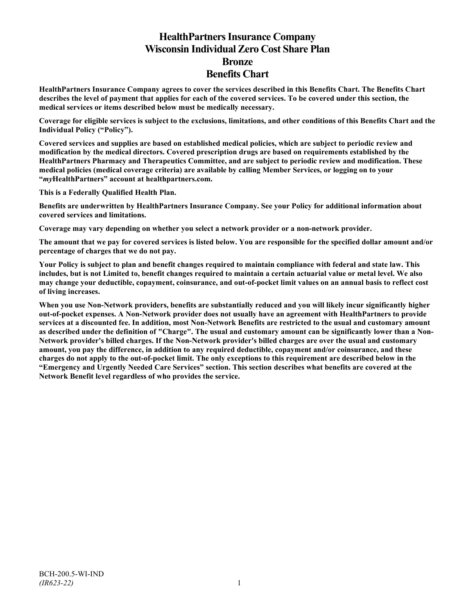# **HealthPartners Insurance Company Wisconsin Individual Zero Cost Share Plan Bronze Benefits Chart**

**HealthPartners Insurance Company agrees to cover the services described in this Benefits Chart. The Benefits Chart describes the level of payment that applies for each of the covered services. To be covered under this section, the medical services or items described below must be medically necessary.**

**Coverage for eligible services is subject to the exclusions, limitations, and other conditions of this Benefits Chart and the Individual Policy ("Policy").**

**Covered services and supplies are based on established medical policies, which are subject to periodic review and modification by the medical directors. Covered prescription drugs are based on requirements established by the HealthPartners Pharmacy and Therapeutics Committee, and are subject to periodic review and modification. These medical policies (medical coverage criteria) are available by calling Member Services, or logging on to your "***my***HealthPartners" account at [healthpartners.com.](http://www.healthpartners.com/)**

**This is a Federally Qualified Health Plan.**

**Benefits are underwritten by HealthPartners Insurance Company. See your Policy for additional information about covered services and limitations.**

**Coverage may vary depending on whether you select a network provider or a non-network provider.**

**The amount that we pay for covered services is listed below. You are responsible for the specified dollar amount and/or percentage of charges that we do not pay.**

**Your Policy is subject to plan and benefit changes required to maintain compliance with federal and state law. This includes, but is not Limited to, benefit changes required to maintain a certain actuarial value or metal level. We also may change your deductible, copayment, coinsurance, and out-of-pocket limit values on an annual basis to reflect cost of living increases.**

**When you use Non-Network providers, benefits are substantially reduced and you will likely incur significantly higher out-of-pocket expenses. A Non-Network provider does not usually have an agreement with HealthPartners to provide services at a discounted fee. In addition, most Non-Network Benefits are restricted to the usual and customary amount as described under the definition of "Charge". The usual and customary amount can be significantly lower than a Non-Network provider's billed charges. If the Non-Network provider's billed charges are over the usual and customary amount, you pay the difference, in addition to any required deductible, copayment and/or coinsurance, and these charges do not apply to the out-of-pocket limit. The only exceptions to this requirement are described below in the "Emergency and Urgently Needed Care Services" section. This section describes what benefits are covered at the Network Benefit level regardless of who provides the service.**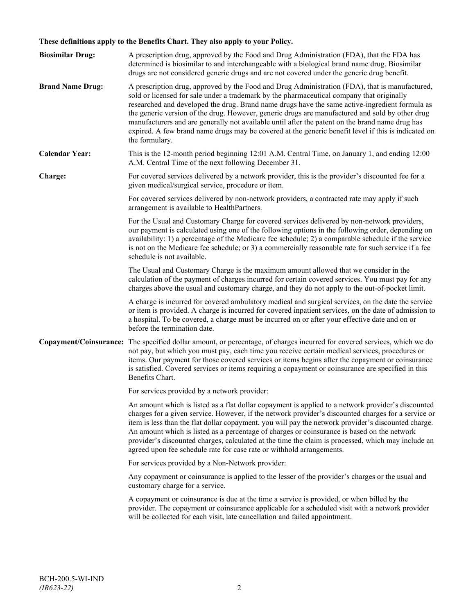# **These definitions apply to the Benefits Chart. They also apply to your Policy.**

| <b>Biosimilar Drug:</b> | A prescription drug, approved by the Food and Drug Administration (FDA), that the FDA has<br>determined is biosimilar to and interchangeable with a biological brand name drug. Biosimilar<br>drugs are not considered generic drugs and are not covered under the generic drug benefit.                                                                                                                                                                                                                                                                                                                                     |
|-------------------------|------------------------------------------------------------------------------------------------------------------------------------------------------------------------------------------------------------------------------------------------------------------------------------------------------------------------------------------------------------------------------------------------------------------------------------------------------------------------------------------------------------------------------------------------------------------------------------------------------------------------------|
| <b>Brand Name Drug:</b> | A prescription drug, approved by the Food and Drug Administration (FDA), that is manufactured,<br>sold or licensed for sale under a trademark by the pharmaceutical company that originally<br>researched and developed the drug. Brand name drugs have the same active-ingredient formula as<br>the generic version of the drug. However, generic drugs are manufactured and sold by other drug<br>manufacturers and are generally not available until after the patent on the brand name drug has<br>expired. A few brand name drugs may be covered at the generic benefit level if this is indicated on<br>the formulary. |
| <b>Calendar Year:</b>   | This is the 12-month period beginning 12:01 A.M. Central Time, on January 1, and ending 12:00<br>A.M. Central Time of the next following December 31.                                                                                                                                                                                                                                                                                                                                                                                                                                                                        |
| Charge:                 | For covered services delivered by a network provider, this is the provider's discounted fee for a<br>given medical/surgical service, procedure or item.                                                                                                                                                                                                                                                                                                                                                                                                                                                                      |
|                         | For covered services delivered by non-network providers, a contracted rate may apply if such<br>arrangement is available to HealthPartners.                                                                                                                                                                                                                                                                                                                                                                                                                                                                                  |
|                         | For the Usual and Customary Charge for covered services delivered by non-network providers,<br>our payment is calculated using one of the following options in the following order, depending on<br>availability: 1) a percentage of the Medicare fee schedule; 2) a comparable schedule if the service<br>is not on the Medicare fee schedule; or 3) a commercially reasonable rate for such service if a fee<br>schedule is not available.                                                                                                                                                                                 |
|                         | The Usual and Customary Charge is the maximum amount allowed that we consider in the<br>calculation of the payment of charges incurred for certain covered services. You must pay for any<br>charges above the usual and customary charge, and they do not apply to the out-of-pocket limit.                                                                                                                                                                                                                                                                                                                                 |
|                         | A charge is incurred for covered ambulatory medical and surgical services, on the date the service<br>or item is provided. A charge is incurred for covered inpatient services, on the date of admission to<br>a hospital. To be covered, a charge must be incurred on or after your effective date and on or<br>before the termination date.                                                                                                                                                                                                                                                                                |
|                         | Copayment/Coinsurance: The specified dollar amount, or percentage, of charges incurred for covered services, which we do<br>not pay, but which you must pay, each time you receive certain medical services, procedures or<br>items. Our payment for those covered services or items begins after the copayment or coinsurance<br>is satisfied. Covered services or items requiring a copayment or coinsurance are specified in this<br>Benefits Chart.                                                                                                                                                                      |
|                         | For services provided by a network provider:                                                                                                                                                                                                                                                                                                                                                                                                                                                                                                                                                                                 |
|                         | An amount which is listed as a flat dollar copayment is applied to a network provider's discounted<br>charges for a given service. However, if the network provider's discounted charges for a service or<br>item is less than the flat dollar copayment, you will pay the network provider's discounted charge.<br>An amount which is listed as a percentage of charges or coinsurance is based on the network<br>provider's discounted charges, calculated at the time the claim is processed, which may include an<br>agreed upon fee schedule rate for case rate or withhold arrangements.                               |
|                         | For services provided by a Non-Network provider:                                                                                                                                                                                                                                                                                                                                                                                                                                                                                                                                                                             |
|                         | Any copayment or coinsurance is applied to the lesser of the provider's charges or the usual and<br>customary charge for a service.                                                                                                                                                                                                                                                                                                                                                                                                                                                                                          |
|                         | A copayment or coinsurance is due at the time a service is provided, or when billed by the<br>provider. The copayment or coinsurance applicable for a scheduled visit with a network provider<br>will be collected for each visit, late cancellation and failed appointment.                                                                                                                                                                                                                                                                                                                                                 |
|                         |                                                                                                                                                                                                                                                                                                                                                                                                                                                                                                                                                                                                                              |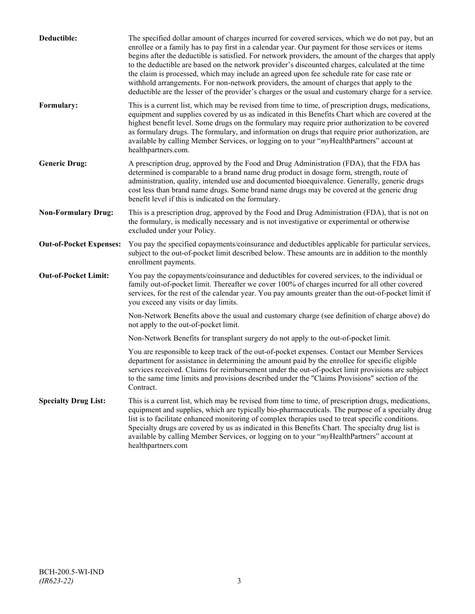| Deductible:                    | The specified dollar amount of charges incurred for covered services, which we do not pay, but an<br>enrollee or a family has to pay first in a calendar year. Our payment for those services or items<br>begins after the deductible is satisfied. For network providers, the amount of the charges that apply<br>to the deductible are based on the network provider's discounted charges, calculated at the time<br>the claim is processed, which may include an agreed upon fee schedule rate for case rate or<br>withhold arrangements. For non-network providers, the amount of charges that apply to the<br>deductible are the lesser of the provider's charges or the usual and customary charge for a service. |
|--------------------------------|-------------------------------------------------------------------------------------------------------------------------------------------------------------------------------------------------------------------------------------------------------------------------------------------------------------------------------------------------------------------------------------------------------------------------------------------------------------------------------------------------------------------------------------------------------------------------------------------------------------------------------------------------------------------------------------------------------------------------|
| Formulary:                     | This is a current list, which may be revised from time to time, of prescription drugs, medications,<br>equipment and supplies covered by us as indicated in this Benefits Chart which are covered at the<br>highest benefit level. Some drugs on the formulary may require prior authorization to be covered<br>as formulary drugs. The formulary, and information on drugs that require prior authorization, are<br>available by calling Member Services, or logging on to your "myHealthPartners" account at<br>healthpartners.com.                                                                                                                                                                                   |
| <b>Generic Drug:</b>           | A prescription drug, approved by the Food and Drug Administration (FDA), that the FDA has<br>determined is comparable to a brand name drug product in dosage form, strength, route of<br>administration, quality, intended use and documented bioequivalence. Generally, generic drugs<br>cost less than brand name drugs. Some brand name drugs may be covered at the generic drug<br>benefit level if this is indicated on the formulary.                                                                                                                                                                                                                                                                             |
| <b>Non-Formulary Drug:</b>     | This is a prescription drug, approved by the Food and Drug Administration (FDA), that is not on<br>the formulary, is medically necessary and is not investigative or experimental or otherwise<br>excluded under your Policy.                                                                                                                                                                                                                                                                                                                                                                                                                                                                                           |
| <b>Out-of-Pocket Expenses:</b> | You pay the specified copayments/coinsurance and deductibles applicable for particular services,<br>subject to the out-of-pocket limit described below. These amounts are in addition to the monthly<br>enrollment payments.                                                                                                                                                                                                                                                                                                                                                                                                                                                                                            |
| <b>Out-of-Pocket Limit:</b>    | You pay the copayments/coinsurance and deductibles for covered services, to the individual or<br>family out-of-pocket limit. Thereafter we cover 100% of charges incurred for all other covered<br>services, for the rest of the calendar year. You pay amounts greater than the out-of-pocket limit if<br>you exceed any visits or day limits.                                                                                                                                                                                                                                                                                                                                                                         |
|                                | Non-Network Benefits above the usual and customary charge (see definition of charge above) do<br>not apply to the out-of-pocket limit.                                                                                                                                                                                                                                                                                                                                                                                                                                                                                                                                                                                  |
|                                | Non-Network Benefits for transplant surgery do not apply to the out-of-pocket limit.                                                                                                                                                                                                                                                                                                                                                                                                                                                                                                                                                                                                                                    |
|                                | You are responsible to keep track of the out-of-pocket expenses. Contact our Member Services<br>department for assistance in determining the amount paid by the enrollee for specific eligible<br>services received. Claims for reimbursement under the out-of-pocket limit provisions are subject<br>to the same time limits and provisions described under the "Claims Provisions" section of the<br>Contract.                                                                                                                                                                                                                                                                                                        |
| <b>Specialty Drug List:</b>    | This is a current list, which may be revised from time to time, of prescription drugs, medications,<br>equipment and supplies, which are typically bio-pharmaceuticals. The purpose of a specialty drug<br>list is to facilitate enhanced monitoring of complex therapies used to treat specific conditions.<br>Specialty drugs are covered by us as indicated in this Benefits Chart. The specialty drug list is<br>available by calling Member Services, or logging on to your "myHealthPartners" account at<br>healthpartners.com                                                                                                                                                                                    |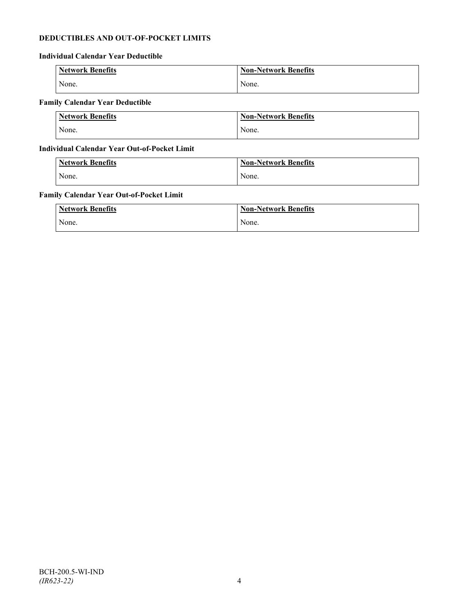# **DEDUCTIBLES AND OUT-OF-POCKET LIMITS**

# **Individual Calendar Year Deductible**

| Network Benefits | <b>Non-Network Benefits</b> |
|------------------|-----------------------------|
| None.            | None.                       |

# **Family Calendar Year Deductible**

| <b>Network Benefits</b> | Non-Network Benefits |
|-------------------------|----------------------|
| None.                   | None.                |

# **Individual Calendar Year Out-of-Pocket Limit**

| <b>Network Benefits</b> | <b>Non-Network Benefits</b> |
|-------------------------|-----------------------------|
| None.                   | None.                       |

# **Family Calendar Year Out-of-Pocket Limit**

| <b>Network Benefits</b> | <b>Non-Network Benefits</b> |
|-------------------------|-----------------------------|
| None.                   | None.                       |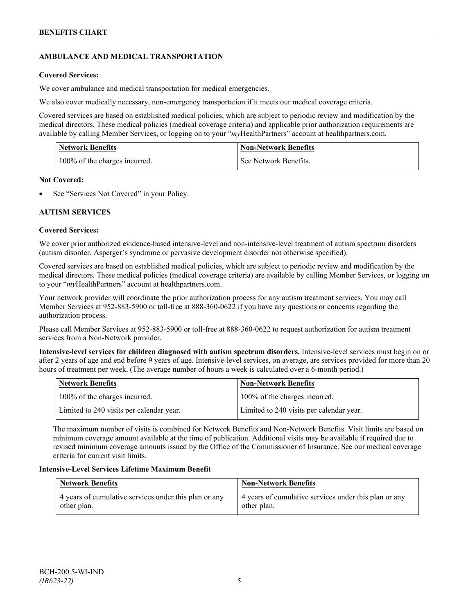# **AMBULANCE AND MEDICAL TRANSPORTATION**

# **Covered Services:**

We cover ambulance and medical transportation for medical emergencies.

We also cover medically necessary, non-emergency transportation if it meets our medical coverage criteria.

Covered services are based on established medical policies, which are subject to periodic review and modification by the medical directors. These medical policies (medical coverage criteria) and applicable prior authorization requirements are available by calling Member Services, or logging on to your "*my*HealthPartners" account a[t healthpartners.com.](http://www.healthpartners.com/)

| <b>Network Benefits</b>       | <b>Non-Network Benefits</b> |
|-------------------------------|-----------------------------|
| 100% of the charges incurred. | See Network Benefits.       |

# **Not Covered:**

See "Services Not Covered" in your Policy.

# **AUTISM SERVICES**

# **Covered Services:**

We cover prior authorized evidence-based intensive-level and non-intensive-level treatment of autism spectrum disorders (autism disorder, Asperger's syndrome or pervasive development disorder not otherwise specified).

Covered services are based on established medical policies, which are subject to periodic review and modification by the medical directors. These medical policies (medical coverage criteria) are available by calling Member Services, or logging on to your "*my*HealthPartners" account at [healthpartners.com.](http://www.healthpartners.com/)

Your network provider will coordinate the prior authorization process for any autism treatment services. You may call Member Services at 952-883-5900 or toll-free at 888-360-0622 if you have any questions or concerns regarding the authorization process.

Please call Member Services at 952-883-5900 or toll-free at 888-360-0622 to request authorization for autism treatment services from a Non-Network provider.

**Intensive-level services for children diagnosed with autism spectrum disorders.** Intensive-level services must begin on or after 2 years of age and end before 9 years of age. Intensive-level services, on average, are services provided for more than 20 hours of treatment per week. (The average number of hours a week is calculated over a 6-month period.)

| Network Benefits                         | <b>Non-Network Benefits</b>              |
|------------------------------------------|------------------------------------------|
| 100% of the charges incurred.            | 100% of the charges incurred.            |
| Limited to 240 visits per calendar year. | Limited to 240 visits per calendar year. |

The maximum number of visits is combined for Network Benefits and Non-Network Benefits. Visit limits are based on minimum coverage amount available at the time of publication. Additional visits may be available if required due to revised minimum coverage amounts issued by the Office of the Commissioner of Insurance. See our medical coverage criteria for current visit limits.

# **Intensive-Level Services Lifetime Maximum Benefit**

| <b>Network Benefits</b>                               | <b>Non-Network Benefits</b>                           |
|-------------------------------------------------------|-------------------------------------------------------|
| 4 years of cumulative services under this plan or any | 4 years of cumulative services under this plan or any |
| other plan.                                           | other plan.                                           |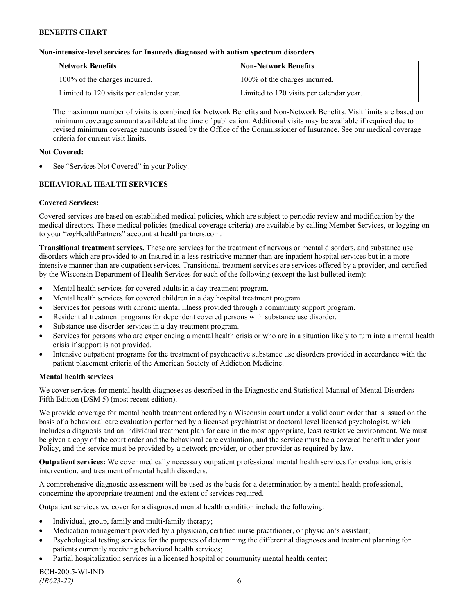### **Non-intensive-level services for Insureds diagnosed with autism spectrum disorders**

| Network Benefits                         | <b>Non-Network Benefits</b>              |
|------------------------------------------|------------------------------------------|
| 100% of the charges incurred.            | 100% of the charges incurred.            |
| Limited to 120 visits per calendar year. | Limited to 120 visits per calendar year. |

The maximum number of visits is combined for Network Benefits and Non-Network Benefits. Visit limits are based on minimum coverage amount available at the time of publication. Additional visits may be available if required due to revised minimum coverage amounts issued by the Office of the Commissioner of Insurance. See our medical coverage criteria for current visit limits.

### **Not Covered:**

See "Services Not Covered" in your Policy.

# **BEHAVIORAL HEALTH SERVICES**

# **Covered Services:**

Covered services are based on established medical policies, which are subject to periodic review and modification by the medical directors. These medical policies (medical coverage criteria) are available by calling Member Services, or logging on to your "*my*HealthPartners" account at [healthpartners.com.](http://www.healthpartners.com/)

**Transitional treatment services.** These are services for the treatment of nervous or mental disorders, and substance use disorders which are provided to an Insured in a less restrictive manner than are inpatient hospital services but in a more intensive manner than are outpatient services. Transitional treatment services are services offered by a provider, and certified by the Wisconsin Department of Health Services for each of the following (except the last bulleted item):

- Mental health services for covered adults in a day treatment program.
- Mental health services for covered children in a day hospital treatment program.
- Services for persons with chronic mental illness provided through a community support program.
- Residential treatment programs for dependent covered persons with substance use disorder.
- Substance use disorder services in a day treatment program.
- Services for persons who are experiencing a mental health crisis or who are in a situation likely to turn into a mental health crisis if support is not provided.
- Intensive outpatient programs for the treatment of psychoactive substance use disorders provided in accordance with the patient placement criteria of the American Society of Addiction Medicine.

# **Mental health services**

We cover services for mental health diagnoses as described in the Diagnostic and Statistical Manual of Mental Disorders – Fifth Edition (DSM 5) (most recent edition).

We provide coverage for mental health treatment ordered by a Wisconsin court under a valid court order that is issued on the basis of a behavioral care evaluation performed by a licensed psychiatrist or doctoral level licensed psychologist, which includes a diagnosis and an individual treatment plan for care in the most appropriate, least restrictive environment. We must be given a copy of the court order and the behavioral care evaluation, and the service must be a covered benefit under your Policy, and the service must be provided by a network provider, or other provider as required by law.

**Outpatient services:** We cover medically necessary outpatient professional mental health services for evaluation, crisis intervention, and treatment of mental health disorders.

A comprehensive diagnostic assessment will be used as the basis for a determination by a mental health professional, concerning the appropriate treatment and the extent of services required.

Outpatient services we cover for a diagnosed mental health condition include the following:

- Individual, group, family and multi-family therapy;
- Medication management provided by a physician, certified nurse practitioner, or physician's assistant;
- Psychological testing services for the purposes of determining the differential diagnoses and treatment planning for patients currently receiving behavioral health services;
- Partial hospitalization services in a licensed hospital or community mental health center;

BCH-200.5-WI-IND *(IR623-22)* 6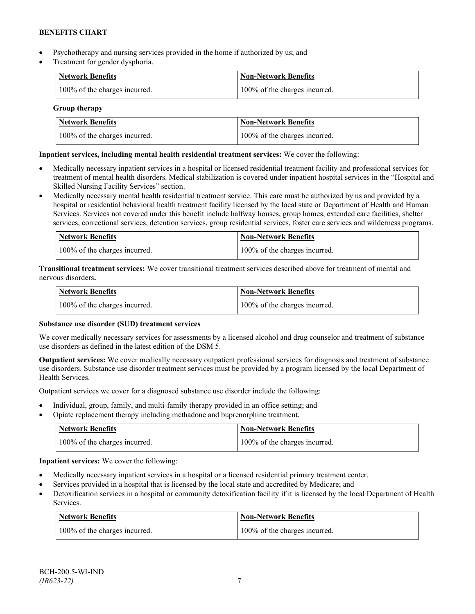- Psychotherapy and nursing services provided in the home if authorized by us; and
- Treatment for gender dysphoria.

| Network Benefits              | <b>Non-Network Benefits</b>   |
|-------------------------------|-------------------------------|
| 100% of the charges incurred. | 100% of the charges incurred. |

# **Group therapy**

| <b>Network Benefits</b>       | <b>Non-Network Benefits</b>   |
|-------------------------------|-------------------------------|
| 100% of the charges incurred. | 100% of the charges incurred. |

# **Inpatient services, including mental health residential treatment services:** We cover the following:

- Medically necessary inpatient services in a hospital or licensed residential treatment facility and professional services for treatment of mental health disorders. Medical stabilization is covered under inpatient hospital services in the "Hospital and Skilled Nursing Facility Services" section.
- Medically necessary mental health residential treatment service. This care must be authorized by us and provided by a hospital or residential behavioral health treatment facility licensed by the local state or Department of Health and Human Services. Services not covered under this benefit include halfway houses, group homes, extended care facilities, shelter services, correctional services, detention services, group residential services, foster care services and wilderness programs.

| Network Benefits              | Non-Network Benefits          |
|-------------------------------|-------------------------------|
| 100% of the charges incurred. | 100% of the charges incurred. |

**Transitional treatment services:** We cover transitional treatment services described above for treatment of mental and nervous disorders**.**

| <b>Network Benefits</b>       | Non-Network Benefits          |
|-------------------------------|-------------------------------|
| 100% of the charges incurred. | 100% of the charges incurred. |

# **Substance use disorder (SUD) treatment services**

We cover medically necessary services for assessments by a licensed alcohol and drug counselor and treatment of substance use disorders as defined in the latest edition of the DSM 5.

**Outpatient services:** We cover medically necessary outpatient professional services for diagnosis and treatment of substance use disorders. Substance use disorder treatment services must be provided by a program licensed by the local Department of Health Services.

Outpatient services we cover for a diagnosed substance use disorder include the following:

- Individual, group, family, and multi-family therapy provided in an office setting; and
- Opiate replacement therapy including methadone and buprenorphine treatment.

| <b>Network Benefits</b>       | <b>Non-Network Benefits</b>   |
|-------------------------------|-------------------------------|
| 100% of the charges incurred. | 100% of the charges incurred. |

**Inpatient services:** We cover the following:

- Medically necessary inpatient services in a hospital or a licensed residential primary treatment center.
- Services provided in a hospital that is licensed by the local state and accredited by Medicare; and
- Detoxification services in a hospital or community detoxification facility if it is licensed by the local Department of Health Services.

| Network Benefits              | <b>Non-Network Benefits</b>   |
|-------------------------------|-------------------------------|
| 100% of the charges incurred. | 100% of the charges incurred. |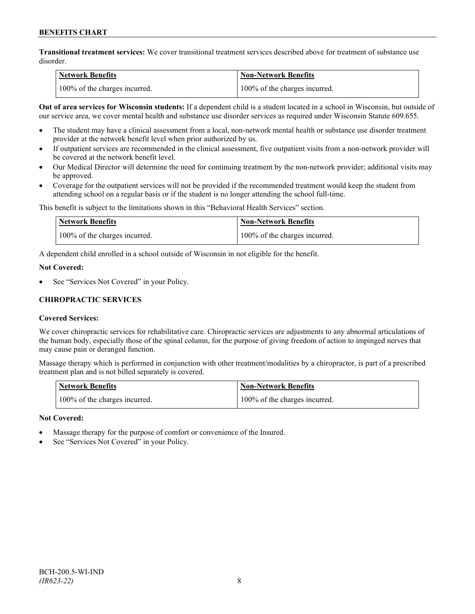**Transitional treatment services:** We cover transitional treatment services described above for treatment of substance use disorder.

| <b>Network Benefits</b>       | <b>Non-Network Benefits</b>   |
|-------------------------------|-------------------------------|
| 100% of the charges incurred. | 100% of the charges incurred. |

**Out of area services for Wisconsin students:** If a dependent child is a student located in a school in Wisconsin, but outside of our service area, we cover mental health and substance use disorder services as required under Wisconsin Statute 609.655.

- The student may have a clinical assessment from a local, non-network mental health or substance use disorder treatment provider at the network benefit level when prior authorized by us.
- If outpatient services are recommended in the clinical assessment, five outpatient visits from a non-network provider will be covered at the network benefit level.
- Our Medical Director will determine the need for continuing treatment by the non-network provider; additional visits may be approved.
- Coverage for the outpatient services will not be provided if the recommended treatment would keep the student from attending school on a regular basis or if the student is no longer attending the school full-time.

This benefit is subject to the limitations shown in this "Behavioral Health Services" section.

| Network Benefits              | <b>Non-Network Benefits</b>   |
|-------------------------------|-------------------------------|
| 100% of the charges incurred. | 100% of the charges incurred. |

A dependent child enrolled in a school outside of Wisconsin in not eligible for the benefit.

#### **Not Covered:**

See "Services Not Covered" in your Policy.

# **CHIROPRACTIC SERVICES**

# **Covered Services:**

We cover chiropractic services for rehabilitative care. Chiropractic services are adjustments to any abnormal articulations of the human body, especially those of the spinal column, for the purpose of giving freedom of action to impinged nerves that may cause pain or deranged function.

Massage therapy which is performed in conjunction with other treatment/modalities by a chiropractor, is part of a prescribed treatment plan and is not billed separately is covered.

| <b>Network Benefits</b>       | 'Non-Network Benefits         |
|-------------------------------|-------------------------------|
| 100% of the charges incurred. | 100% of the charges incurred. |

# **Not Covered:**

- Massage therapy for the purpose of comfort or convenience of the Insured.
- See "Services Not Covered" in your Policy.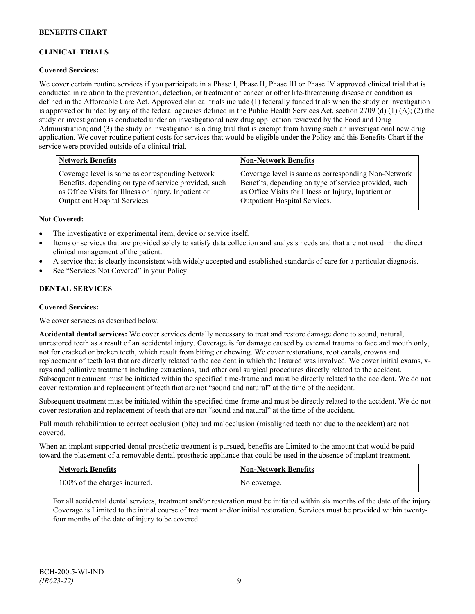# **CLINICAL TRIALS**

# **Covered Services:**

We cover certain routine services if you participate in a Phase I, Phase II, Phase III or Phase IV approved clinical trial that is conducted in relation to the prevention, detection, or treatment of cancer or other life-threatening disease or condition as defined in the Affordable Care Act. Approved clinical trials include (1) federally funded trials when the study or investigation is approved or funded by any of the federal agencies defined in the Public Health Services Act, section 2709 (d) (1) (A); (2) the study or investigation is conducted under an investigational new drug application reviewed by the Food and Drug Administration; and (3) the study or investigation is a drug trial that is exempt from having such an investigational new drug application. We cover routine patient costs for services that would be eligible under the Policy and this Benefits Chart if the service were provided outside of a clinical trial.

| <b>Network Benefits</b>                               | <b>Non-Network Benefits</b>                           |
|-------------------------------------------------------|-------------------------------------------------------|
| Coverage level is same as corresponding Network       | Coverage level is same as corresponding Non-Network   |
| Benefits, depending on type of service provided, such | Benefits, depending on type of service provided, such |
| as Office Visits for Illness or Injury, Inpatient or  | as Office Visits for Illness or Injury, Inpatient or  |
| <b>Outpatient Hospital Services.</b>                  | Outpatient Hospital Services.                         |

#### **Not Covered:**

- The investigative or experimental item, device or service itself.
- Items or services that are provided solely to satisfy data collection and analysis needs and that are not used in the direct clinical management of the patient.
- A service that is clearly inconsistent with widely accepted and established standards of care for a particular diagnosis.
- See "Services Not Covered" in your Policy.

# **DENTAL SERVICES**

#### **Covered Services:**

We cover services as described below.

**Accidental dental services:** We cover services dentally necessary to treat and restore damage done to sound, natural, unrestored teeth as a result of an accidental injury. Coverage is for damage caused by external trauma to face and mouth only, not for cracked or broken teeth, which result from biting or chewing. We cover restorations, root canals, crowns and replacement of teeth lost that are directly related to the accident in which the Insured was involved. We cover initial exams, xrays and palliative treatment including extractions, and other oral surgical procedures directly related to the accident. Subsequent treatment must be initiated within the specified time-frame and must be directly related to the accident. We do not cover restoration and replacement of teeth that are not "sound and natural" at the time of the accident.

Subsequent treatment must be initiated within the specified time-frame and must be directly related to the accident. We do not cover restoration and replacement of teeth that are not "sound and natural" at the time of the accident.

Full mouth rehabilitation to correct occlusion (bite) and malocclusion (misaligned teeth not due to the accident) are not covered.

When an implant-supported dental prosthetic treatment is pursued, benefits are Limited to the amount that would be paid toward the placement of a removable dental prosthetic appliance that could be used in the absence of implant treatment.

| <b>Network Benefits</b>       | <b>Non-Network Benefits</b> |
|-------------------------------|-----------------------------|
| 100% of the charges incurred. | No coverage.                |

For all accidental dental services, treatment and/or restoration must be initiated within six months of the date of the injury. Coverage is Limited to the initial course of treatment and/or initial restoration. Services must be provided within twentyfour months of the date of injury to be covered.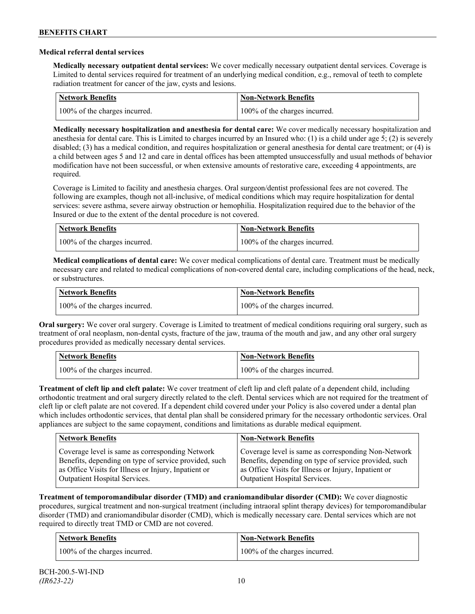### **Medical referral dental services**

**Medically necessary outpatient dental services:** We cover medically necessary outpatient dental services. Coverage is Limited to dental services required for treatment of an underlying medical condition, e.g., removal of teeth to complete radiation treatment for cancer of the jaw, cysts and lesions.

| <b>Network Benefits</b>       | <b>Non-Network Benefits</b>   |
|-------------------------------|-------------------------------|
| 100% of the charges incurred. | 100% of the charges incurred. |

**Medically necessary hospitalization and anesthesia for dental care:** We cover medically necessary hospitalization and anesthesia for dental care. This is Limited to charges incurred by an Insured who: (1) is a child under age 5; (2) is severely disabled; (3) has a medical condition, and requires hospitalization or general anesthesia for dental care treatment; or (4) is a child between ages 5 and 12 and care in dental offices has been attempted unsuccessfully and usual methods of behavior modification have not been successful, or when extensive amounts of restorative care, exceeding 4 appointments, are required.

Coverage is Limited to facility and anesthesia charges. Oral surgeon/dentist professional fees are not covered. The following are examples, though not all-inclusive, of medical conditions which may require hospitalization for dental services: severe asthma, severe airway obstruction or hemophilia. Hospitalization required due to the behavior of the Insured or due to the extent of the dental procedure is not covered.

| <b>Network Benefits</b>       | <b>Non-Network Benefits</b>   |
|-------------------------------|-------------------------------|
| 100% of the charges incurred. | 100% of the charges incurred. |

**Medical complications of dental care:** We cover medical complications of dental care. Treatment must be medically necessary care and related to medical complications of non-covered dental care, including complications of the head, neck, or substructures.

| Network Benefits              | <b>Non-Network Benefits</b>   |
|-------------------------------|-------------------------------|
| 100% of the charges incurred. | 100% of the charges incurred. |

**Oral surgery:** We cover oral surgery. Coverage is Limited to treatment of medical conditions requiring oral surgery, such as treatment of oral neoplasm, non-dental cysts, fracture of the jaw, trauma of the mouth and jaw, and any other oral surgery procedures provided as medically necessary dental services.

| <b>Network Benefits</b> |                               | <b>Non-Network Benefits</b>   |
|-------------------------|-------------------------------|-------------------------------|
|                         | 100% of the charges incurred. | 100% of the charges incurred. |

**Treatment of cleft lip and cleft palate:** We cover treatment of cleft lip and cleft palate of a dependent child, including orthodontic treatment and oral surgery directly related to the cleft. Dental services which are not required for the treatment of cleft lip or cleft palate are not covered. If a dependent child covered under your Policy is also covered under a dental plan which includes orthodontic services, that dental plan shall be considered primary for the necessary orthodontic services. Oral appliances are subject to the same copayment, conditions and limitations as durable medical equipment.

| <b>Network Benefits</b>                               | <b>Non-Network Benefits</b>                           |
|-------------------------------------------------------|-------------------------------------------------------|
| Coverage level is same as corresponding Network       | Coverage level is same as corresponding Non-Network   |
| Benefits, depending on type of service provided, such | Benefits, depending on type of service provided, such |
| as Office Visits for Illness or Injury, Inpatient or  | as Office Visits for Illness or Injury, Inpatient or  |
| Outpatient Hospital Services.                         | Outpatient Hospital Services.                         |

**Treatment of temporomandibular disorder (TMD) and craniomandibular disorder (CMD):** We cover diagnostic procedures, surgical treatment and non-surgical treatment (including intraoral splint therapy devices) for temporomandibular disorder (TMD) and craniomandibular disorder (CMD), which is medically necessary care. Dental services which are not required to directly treat TMD or CMD are not covered.

| <b>Network Benefits</b>       | <b>Non-Network Benefits</b>   |
|-------------------------------|-------------------------------|
| 100% of the charges incurred. | 100% of the charges incurred. |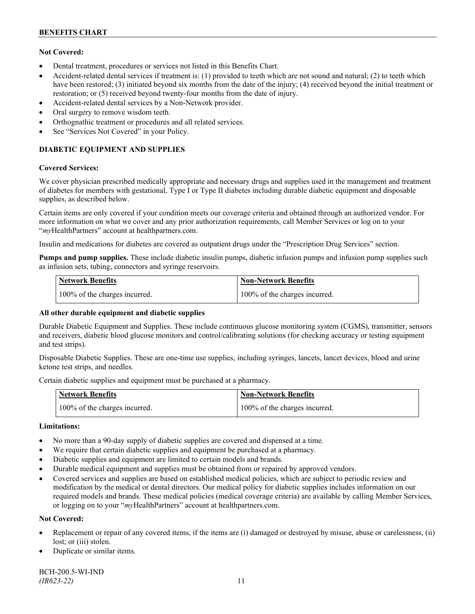# **Not Covered:**

- Dental treatment, procedures or services not listed in this Benefits Chart.
- Accident-related dental services if treatment is: (1) provided to teeth which are not sound and natural; (2) to teeth which have been restored; (3) initiated beyond six months from the date of the injury; (4) received beyond the initial treatment or restoration; or (5) received beyond twenty-four months from the date of injury.
- Accident-related dental services by a Non-Network provider.
- Oral surgery to remove wisdom teeth.
- Orthognathic treatment or procedures and all related services.
- See "Services Not Covered" in your Policy.

# **DIABETIC EQUIPMENT AND SUPPLIES**

#### **Covered Services:**

We cover physician prescribed medically appropriate and necessary drugs and supplies used in the management and treatment of diabetes for members with gestational, Type I or Type II diabetes including durable diabetic equipment and disposable supplies, as described below.

Certain items are only covered if your condition meets our coverage criteria and obtained through an authorized vendor. For more information on what we cover and any prior authorization requirements, call Member Services or log on to your "*my*HealthPartners" account at [healthpartners.com.](http://www.healthpartners.com/)

Insulin and medications for diabetes are covered as outpatient drugs under the "Prescription Drug Services" section.

**Pumps and pump supplies.** These include diabetic insulin pumps, diabetic infusion pumps and infusion pump supplies such as infusion sets, tubing, connectors and syringe reservoirs.

| <b>Network Benefits</b>       | <b>Non-Network Benefits</b>   |
|-------------------------------|-------------------------------|
| 100% of the charges incurred. | 100% of the charges incurred. |

# **All other durable equipment and diabetic supplies**

Durable Diabetic Equipment and Supplies. These include continuous glucose monitoring system (CGMS), transmitter, sensors and receivers, diabetic blood glucose monitors and control/calibrating solutions (for checking accuracy or testing equipment and test strips).

Disposable Diabetic Supplies. These are one-time use supplies, including syringes, lancets, lancet devices, blood and urine ketone test strips, and needles.

Certain diabetic supplies and equipment must be purchased at a pharmacy.

| <b>Network Benefits</b>       | <b>Non-Network Benefits</b>   |
|-------------------------------|-------------------------------|
| 100% of the charges incurred. | 100% of the charges incurred. |

# **Limitations:**

- No more than a 90-day supply of diabetic supplies are covered and dispensed at a time.
- We require that certain diabetic supplies and equipment be purchased at a pharmacy.
- Diabetic supplies and equipment are limited to certain models and brands.
- Durable medical equipment and supplies must be obtained from or repaired by approved vendors.
- Covered services and supplies are based on established medical policies, which are subject to periodic review and modification by the medical or dental directors. Our medical policy for diabetic supplies includes information on our required models and brands. These medical policies (medical coverage criteria) are available by calling Member Services, or logging on to your "*my*HealthPartners" account at healthpartners.com.

# **Not Covered:**

- Replacement or repair of any covered items, if the items are (i) damaged or destroyed by misuse, abuse or carelessness, (ii) lost; or (iii) stolen.
- Duplicate or similar items.

BCH-200.5-WI-IND *(IR623-22)* 11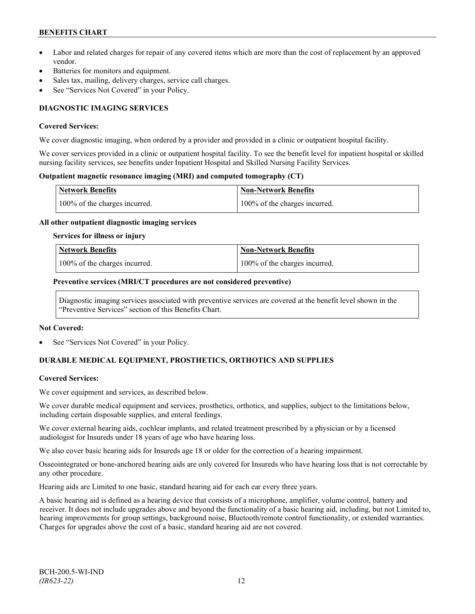- Labor and related charges for repair of any covered items which are more than the cost of replacement by an approved vendor.
- Batteries for monitors and equipment.
- Sales tax, mailing, delivery charges, service call charges.
- See "Services Not Covered" in your Policy.

# **DIAGNOSTIC IMAGING SERVICES**

#### **Covered Services:**

We cover diagnostic imaging, when ordered by a provider and provided in a clinic or outpatient hospital facility.

We cover services provided in a clinic or outpatient hospital facility. To see the benefit level for inpatient hospital or skilled nursing facility services, see benefits under Inpatient Hospital and Skilled Nursing Facility Services.

### **Outpatient magnetic resonance imaging (MRI) and computed tomography (CT)**

| <b>Network Benefits</b>       | <b>Non-Network Benefits</b>   |
|-------------------------------|-------------------------------|
| 100% of the charges incurred. | 100% of the charges incurred. |

#### **All other outpatient diagnostic imaging services**

#### **Services for illness or injury**

| <b>Network Benefits</b>       | <b>Non-Network Benefits</b>      |
|-------------------------------|----------------------------------|
| 100% of the charges incurred. | $100\%$ of the charges incurred. |

#### **Preventive services (MRI/CT procedures are not considered preventive)**

Diagnostic imaging services associated with preventive services are covered at the benefit level shown in the "Preventive Services" section of this Benefits Chart.

#### **Not Covered:**

See "Services Not Covered" in your Policy.

# **DURABLE MEDICAL EQUIPMENT, PROSTHETICS, ORTHOTICS AND SUPPLIES**

# **Covered Services:**

We cover equipment and services, as described below.

We cover durable medical equipment and services, prosthetics, orthotics, and supplies, subject to the limitations below, including certain disposable supplies, and enteral feedings.

We cover external hearing aids, cochlear implants, and related treatment prescribed by a physician or by a licensed audiologist for Insureds under 18 years of age who have hearing loss.

We also cover basic hearing aids for Insureds age 18 or older for the correction of a hearing impairment.

Osseointegrated or bone-anchored hearing aids are only covered for Insureds who have hearing loss that is not correctable by any other procedure.

Hearing aids are Limited to one basic, standard hearing aid for each ear every three years.

A basic hearing aid is defined as a hearing device that consists of a microphone, amplifier, volume control, battery and receiver. It does not include upgrades above and beyond the functionality of a basic hearing aid, including, but not Limited to, hearing improvements for group settings, background noise, Bluetooth/remote control functionality, or extended warranties. Charges for upgrades above the cost of a basic, standard hearing aid are not covered.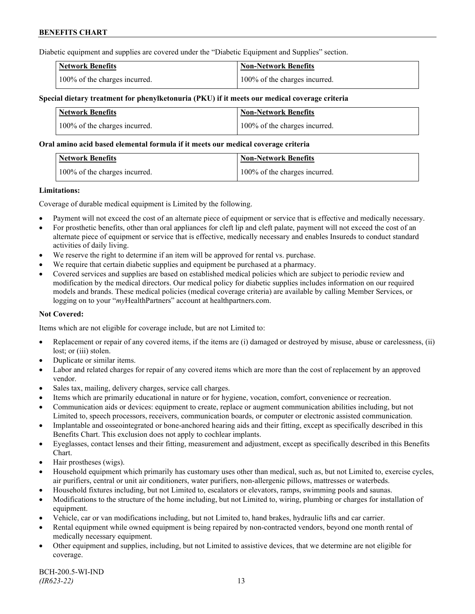Diabetic equipment and supplies are covered under the "Diabetic Equipment and Supplies" section.

| <b>Network Benefits</b>       | <b>Non-Network Benefits</b>   |
|-------------------------------|-------------------------------|
| 100% of the charges incurred. | 100% of the charges incurred. |

### **Special dietary treatment for phenylketonuria (PKU) if it meets our medical coverage criteria**

| <b>Network Benefits</b>       | <b>Non-Network Benefits</b>   |
|-------------------------------|-------------------------------|
| 100% of the charges incurred. | 100% of the charges incurred. |

#### **Oral amino acid based elemental formula if it meets our medical coverage criteria**

| Network Benefits              | Non-Network Benefits          |
|-------------------------------|-------------------------------|
| 100% of the charges incurred. | 100% of the charges incurred. |

#### **Limitations:**

Coverage of durable medical equipment is Limited by the following.

- Payment will not exceed the cost of an alternate piece of equipment or service that is effective and medically necessary.
- For prosthetic benefits, other than oral appliances for cleft lip and cleft palate, payment will not exceed the cost of an alternate piece of equipment or service that is effective, medically necessary and enables Insureds to conduct standard activities of daily living.
- We reserve the right to determine if an item will be approved for rental vs. purchase.
- We require that certain diabetic supplies and equipment be purchased at a pharmacy.
- Covered services and supplies are based on established medical policies which are subject to periodic review and modification by the medical directors. Our medical policy for diabetic supplies includes information on our required models and brands. These medical policies (medical coverage criteria) are available by calling Member Services, or logging on to your "*my*HealthPartners" account at [healthpartners.com.](http://www.healthpartners.com/)

# **Not Covered:**

Items which are not eligible for coverage include, but are not Limited to:

- Replacement or repair of any covered items, if the items are (i) damaged or destroyed by misuse, abuse or carelessness, (ii) lost; or (iii) stolen.
- Duplicate or similar items.
- Labor and related charges for repair of any covered items which are more than the cost of replacement by an approved vendor.
- Sales tax, mailing, delivery charges, service call charges.
- Items which are primarily educational in nature or for hygiene, vocation, comfort, convenience or recreation.
- Communication aids or devices: equipment to create, replace or augment communication abilities including, but not Limited to, speech processors, receivers, communication boards, or computer or electronic assisted communication.
- Implantable and osseointegrated or bone-anchored hearing aids and their fitting, except as specifically described in this Benefits Chart. This exclusion does not apply to cochlear implants.
- Eyeglasses, contact lenses and their fitting, measurement and adjustment, except as specifically described in this Benefits Chart.
- Hair prostheses (wigs).
- Household equipment which primarily has customary uses other than medical, such as, but not Limited to, exercise cycles, air purifiers, central or unit air conditioners, water purifiers, non-allergenic pillows, mattresses or waterbeds.
- Household fixtures including, but not Limited to, escalators or elevators, ramps, swimming pools and saunas.
- Modifications to the structure of the home including, but not Limited to, wiring, plumbing or charges for installation of equipment.
- Vehicle, car or van modifications including, but not Limited to, hand brakes, hydraulic lifts and car carrier.
- Rental equipment while owned equipment is being repaired by non-contracted vendors, beyond one month rental of medically necessary equipment.
- Other equipment and supplies, including, but not Limited to assistive devices, that we determine are not eligible for coverage.

BCH-200.5-WI-IND *(IR623-22)* 13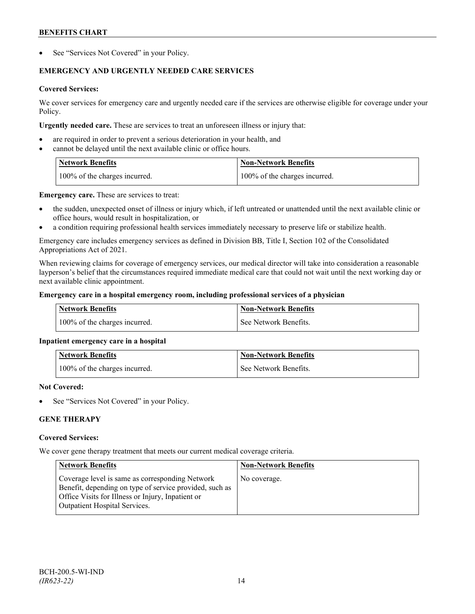See "Services Not Covered" in your Policy.

# **EMERGENCY AND URGENTLY NEEDED CARE SERVICES**

# **Covered Services:**

We cover services for emergency care and urgently needed care if the services are otherwise eligible for coverage under your Policy.

**Urgently needed care.** These are services to treat an unforeseen illness or injury that:

- are required in order to prevent a serious deterioration in your health, and
- cannot be delayed until the next available clinic or office hours.

| <b>Network Benefits</b>       | <b>Non-Network Benefits</b>   |
|-------------------------------|-------------------------------|
| 100% of the charges incurred. | 100% of the charges incurred. |

**Emergency care.** These are services to treat:

- the sudden, unexpected onset of illness or injury which, if left untreated or unattended until the next available clinic or office hours, would result in hospitalization, or
- a condition requiring professional health services immediately necessary to preserve life or stabilize health.

Emergency care includes emergency services as defined in Division BB, Title I, Section 102 of the Consolidated Appropriations Act of 2021.

When reviewing claims for coverage of emergency services, our medical director will take into consideration a reasonable layperson's belief that the circumstances required immediate medical care that could not wait until the next working day or next available clinic appointment.

# **Emergency care in a hospital emergency room, including professional services of a physician**

| <b>Network Benefits</b>       | Non-Network Benefits    |
|-------------------------------|-------------------------|
| 100% of the charges incurred. | l See Network Benefits. |

# **Inpatient emergency care in a hospital**

| <b>Network Benefits</b>       | <b>Non-Network Benefits</b> |
|-------------------------------|-----------------------------|
| 100% of the charges incurred. | See Network Benefits.       |

# **Not Covered:**

See "Services Not Covered" in your Policy.

# **GENE THERAPY**

# **Covered Services:**

We cover gene therapy treatment that meets our current medical coverage criteria.

| <b>Network Benefits</b>                                                                                                                                                                                 | <b>Non-Network Benefits</b> |
|---------------------------------------------------------------------------------------------------------------------------------------------------------------------------------------------------------|-----------------------------|
| Coverage level is same as corresponding Network<br>Benefit, depending on type of service provided, such as<br>Office Visits for Illness or Injury, Inpatient or<br><b>Outpatient Hospital Services.</b> | No coverage.                |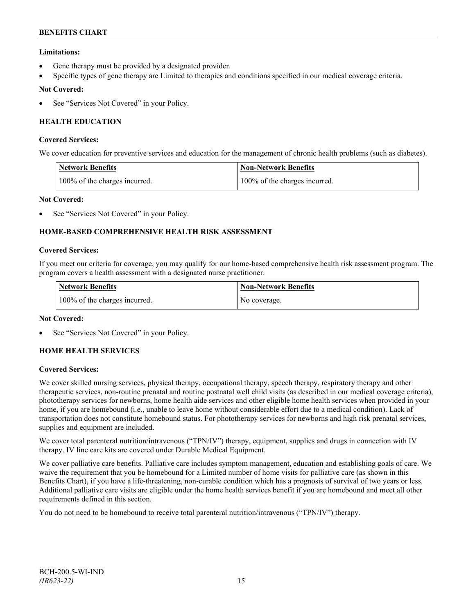# **Limitations:**

- Gene therapy must be provided by a designated provider.
- Specific types of gene therapy are Limited to therapies and conditions specified in our medical coverage criteria.

# **Not Covered:**

See "Services Not Covered" in your Policy.

# **HEALTH EDUCATION**

### **Covered Services:**

We cover education for preventive services and education for the management of chronic health problems (such as diabetes).

| <b>Network Benefits</b>       | <b>Non-Network Benefits</b>   |
|-------------------------------|-------------------------------|
| 100% of the charges incurred. | 100% of the charges incurred. |

# **Not Covered:**

See "Services Not Covered" in your Policy.

# **HOME-BASED COMPREHENSIVE HEALTH RISK ASSESSMENT**

#### **Covered Services:**

If you meet our criteria for coverage, you may qualify for our home-based comprehensive health risk assessment program. The program covers a health assessment with a designated nurse practitioner.

| <b>Network Benefits</b>       | <b>Non-Network Benefits</b> |
|-------------------------------|-----------------------------|
| 100% of the charges incurred. | No coverage.                |

# **Not Covered:**

See "Services Not Covered" in your Policy.

# **HOME HEALTH SERVICES**

# **Covered Services:**

We cover skilled nursing services, physical therapy, occupational therapy, speech therapy, respiratory therapy and other therapeutic services, non-routine prenatal and routine postnatal well child visits (as described in our medical coverage criteria), phototherapy services for newborns, home health aide services and other eligible home health services when provided in your home, if you are homebound (i.e., unable to leave home without considerable effort due to a medical condition). Lack of transportation does not constitute homebound status. For phototherapy services for newborns and high risk prenatal services, supplies and equipment are included.

We cover total parenteral nutrition/intravenous ("TPN/IV") therapy, equipment, supplies and drugs in connection with IV therapy. IV line care kits are covered under Durable Medical Equipment.

We cover palliative care benefits. Palliative care includes symptom management, education and establishing goals of care. We waive the requirement that you be homebound for a Limited number of home visits for palliative care (as shown in this Benefits Chart), if you have a life-threatening, non-curable condition which has a prognosis of survival of two years or less. Additional palliative care visits are eligible under the home health services benefit if you are homebound and meet all other requirements defined in this section.

You do not need to be homebound to receive total parenteral nutrition/intravenous ("TPN/IV") therapy.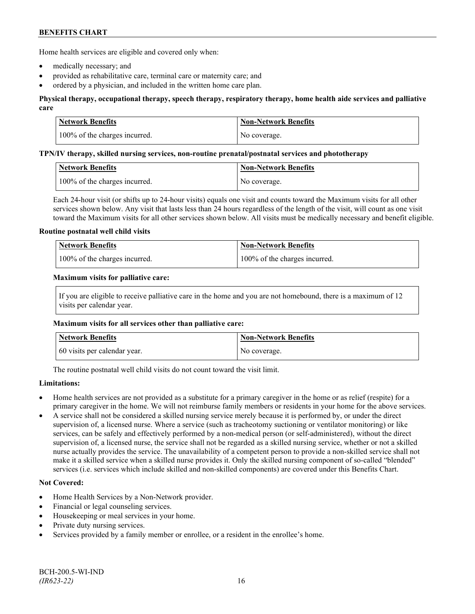Home health services are eligible and covered only when:

- medically necessary; and
- provided as rehabilitative care, terminal care or maternity care; and
- ordered by a physician, and included in the written home care plan.

# **Physical therapy, occupational therapy, speech therapy, respiratory therapy, home health aide services and palliative care**

| <b>Network Benefits</b>       | <b>Non-Network Benefits</b> |
|-------------------------------|-----------------------------|
| 100% of the charges incurred. | No coverage.                |

#### **TPN/IV therapy, skilled nursing services, non-routine prenatal/postnatal services and phototherapy**

| Network Benefits              | Non-Network Benefits |
|-------------------------------|----------------------|
| 100% of the charges incurred. | No coverage.         |

Each 24-hour visit (or shifts up to 24-hour visits) equals one visit and counts toward the Maximum visits for all other services shown below. Any visit that lasts less than 24 hours regardless of the length of the visit, will count as one visit toward the Maximum visits for all other services shown below. All visits must be medically necessary and benefit eligible.

#### **Routine postnatal well child visits**

| <b>Network Benefits</b>       | Non-Network Benefits          |
|-------------------------------|-------------------------------|
| 100% of the charges incurred. | 100% of the charges incurred. |

#### **Maximum visits for palliative care:**

If you are eligible to receive palliative care in the home and you are not homebound, there is a maximum of 12 visits per calendar year.

#### **Maximum visits for all services other than palliative care:**

| Network Benefits             | <b>Non-Network Benefits</b> |
|------------------------------|-----------------------------|
| 60 visits per calendar year. | No coverage.                |

The routine postnatal well child visits do not count toward the visit limit.

# **Limitations:**

- Home health services are not provided as a substitute for a primary caregiver in the home or as relief (respite) for a primary caregiver in the home. We will not reimburse family members or residents in your home for the above services.
- A service shall not be considered a skilled nursing service merely because it is performed by, or under the direct supervision of, a licensed nurse. Where a service (such as tracheotomy suctioning or ventilator monitoring) or like services, can be safely and effectively performed by a non-medical person (or self-administered), without the direct supervision of, a licensed nurse, the service shall not be regarded as a skilled nursing service, whether or not a skilled nurse actually provides the service. The unavailability of a competent person to provide a non-skilled service shall not make it a skilled service when a skilled nurse provides it. Only the skilled nursing component of so-called "blended" services (i.e. services which include skilled and non-skilled components) are covered under this Benefits Chart.

# **Not Covered:**

- Home Health Services by a Non-Network provider.
- Financial or legal counseling services.
- Housekeeping or meal services in your home.
- Private duty nursing services.
- Services provided by a family member or enrollee, or a resident in the enrollee's home.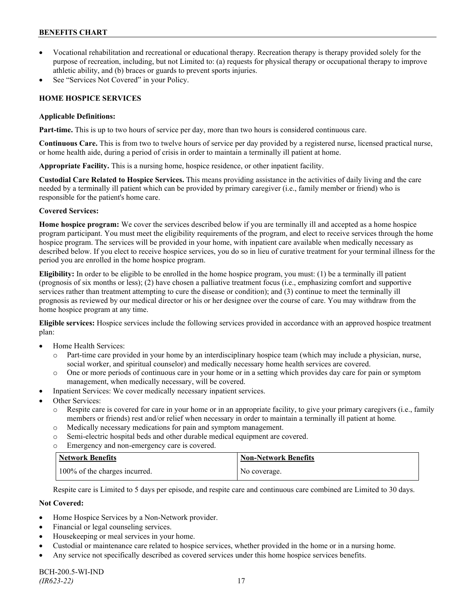- Vocational rehabilitation and recreational or educational therapy. Recreation therapy is therapy provided solely for the purpose of recreation, including, but not Limited to: (a) requests for physical therapy or occupational therapy to improve athletic ability, and (b) braces or guards to prevent sports injuries.
- See "Services Not Covered" in your Policy.

# **HOME HOSPICE SERVICES**

### **Applicable Definitions:**

**Part-time.** This is up to two hours of service per day, more than two hours is considered continuous care.

**Continuous Care.** This is from two to twelve hours of service per day provided by a registered nurse, licensed practical nurse, or home health aide, during a period of crisis in order to maintain a terminally ill patient at home.

**Appropriate Facility.** This is a nursing home, hospice residence, or other inpatient facility.

**Custodial Care Related to Hospice Services.** This means providing assistance in the activities of daily living and the care needed by a terminally ill patient which can be provided by primary caregiver (i.e., family member or friend) who is responsible for the patient's home care.

# **Covered Services:**

**Home hospice program:** We cover the services described below if you are terminally ill and accepted as a home hospice program participant. You must meet the eligibility requirements of the program, and elect to receive services through the home hospice program. The services will be provided in your home, with inpatient care available when medically necessary as described below. If you elect to receive hospice services, you do so in lieu of curative treatment for your terminal illness for the period you are enrolled in the home hospice program.

**Eligibility:** In order to be eligible to be enrolled in the home hospice program, you must: (1) be a terminally ill patient (prognosis of six months or less); (2) have chosen a palliative treatment focus (i.e., emphasizing comfort and supportive services rather than treatment attempting to cure the disease or condition); and (3) continue to meet the terminally ill prognosis as reviewed by our medical director or his or her designee over the course of care. You may withdraw from the home hospice program at any time.

**Eligible services:** Hospice services include the following services provided in accordance with an approved hospice treatment plan:

- Home Health Services:
	- o Part-time care provided in your home by an interdisciplinary hospice team (which may include a physician, nurse, social worker, and spiritual counselor) and medically necessary home health services are covered.
	- o One or more periods of continuous care in your home or in a setting which provides day care for pain or symptom management, when medically necessary, will be covered.
- Inpatient Services: We cover medically necessary inpatient services.
- Other Services:
	- o Respite care is covered for care in your home or in an appropriate facility, to give your primary caregivers (i.e., family members or friends) rest and/or relief when necessary in order to maintain a terminally ill patient at home*.*
	- o Medically necessary medications for pain and symptom management.
	- o Semi-electric hospital beds and other durable medical equipment are covered.
	- o Emergency and non-emergency care is covered.

| Network Benefits              | <b>Non-Network Benefits</b> |
|-------------------------------|-----------------------------|
| 100% of the charges incurred. | No coverage.                |

Respite care is Limited to 5 days per episode, and respite care and continuous care combined are Limited to 30 days.

# **Not Covered:**

- Home Hospice Services by a Non-Network provider.
- Financial or legal counseling services.
- Housekeeping or meal services in your home.
- Custodial or maintenance care related to hospice services, whether provided in the home or in a nursing home.
- Any service not specifically described as covered services under this home hospice services benefits.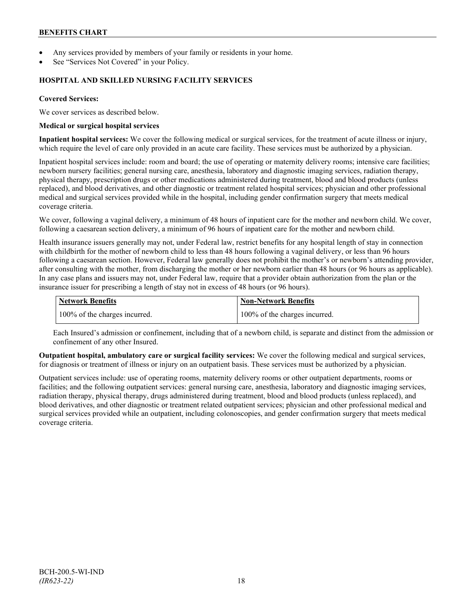- Any services provided by members of your family or residents in your home.
- See "Services Not Covered" in your Policy.

### **HOSPITAL AND SKILLED NURSING FACILITY SERVICES**

### **Covered Services:**

We cover services as described below.

#### **Medical or surgical hospital services**

**Inpatient hospital services:** We cover the following medical or surgical services, for the treatment of acute illness or injury, which require the level of care only provided in an acute care facility. These services must be authorized by a physician.

Inpatient hospital services include: room and board; the use of operating or maternity delivery rooms; intensive care facilities; newborn nursery facilities; general nursing care, anesthesia, laboratory and diagnostic imaging services, radiation therapy, physical therapy, prescription drugs or other medications administered during treatment, blood and blood products (unless replaced), and blood derivatives, and other diagnostic or treatment related hospital services; physician and other professional medical and surgical services provided while in the hospital, including gender confirmation surgery that meets medical coverage criteria.

We cover, following a vaginal delivery, a minimum of 48 hours of inpatient care for the mother and newborn child. We cover, following a caesarean section delivery, a minimum of 96 hours of inpatient care for the mother and newborn child.

Health insurance issuers generally may not, under Federal law, restrict benefits for any hospital length of stay in connection with childbirth for the mother of newborn child to less than 48 hours following a vaginal delivery, or less than 96 hours following a caesarean section. However, Federal law generally does not prohibit the mother's or newborn's attending provider, after consulting with the mother, from discharging the mother or her newborn earlier than 48 hours (or 96 hours as applicable). In any case plans and issuers may not, under Federal law, require that a provider obtain authorization from the plan or the insurance issuer for prescribing a length of stay not in excess of 48 hours (or 96 hours).

| <b>Network Benefits</b>       | Non-Network Benefits          |
|-------------------------------|-------------------------------|
| 100% of the charges incurred. | 100% of the charges incurred. |

Each Insured's admission or confinement, including that of a newborn child, is separate and distinct from the admission or confinement of any other Insured.

**Outpatient hospital, ambulatory care or surgical facility services:** We cover the following medical and surgical services, for diagnosis or treatment of illness or injury on an outpatient basis. These services must be authorized by a physician.

Outpatient services include: use of operating rooms, maternity delivery rooms or other outpatient departments, rooms or facilities; and the following outpatient services: general nursing care, anesthesia, laboratory and diagnostic imaging services, radiation therapy, physical therapy, drugs administered during treatment, blood and blood products (unless replaced), and blood derivatives, and other diagnostic or treatment related outpatient services; physician and other professional medical and surgical services provided while an outpatient, including colonoscopies, and gender confirmation surgery that meets medical coverage criteria.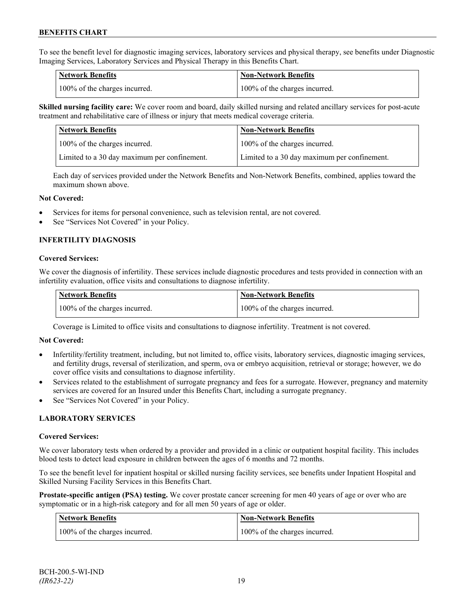To see the benefit level for diagnostic imaging services, laboratory services and physical therapy, see benefits under Diagnostic Imaging Services, Laboratory Services and Physical Therapy in this Benefits Chart.

| <b>Network Benefits</b>       | <b>Non-Network Benefits</b>   |
|-------------------------------|-------------------------------|
| 100% of the charges incurred. | 100% of the charges incurred. |

**Skilled nursing facility care:** We cover room and board, daily skilled nursing and related ancillary services for post-acute treatment and rehabilitative care of illness or injury that meets medical coverage criteria.

| Network Benefits                             | <b>Non-Network Benefits</b>                  |
|----------------------------------------------|----------------------------------------------|
| 100% of the charges incurred.                | 100% of the charges incurred.                |
| Limited to a 30 day maximum per confinement. | Limited to a 30 day maximum per confinement. |

Each day of services provided under the Network Benefits and Non-Network Benefits, combined, applies toward the maximum shown above.

#### **Not Covered:**

- Services for items for personal convenience, such as television rental, are not covered.
- See "Services Not Covered" in your Policy.

# **INFERTILITY DIAGNOSIS**

#### **Covered Services:**

We cover the diagnosis of infertility. These services include diagnostic procedures and tests provided in connection with an infertility evaluation, office visits and consultations to diagnose infertility.

| <b>Network Benefits</b>       | Non-Network Benefits          |
|-------------------------------|-------------------------------|
| 100% of the charges incurred. | 100% of the charges incurred. |

Coverage is Limited to office visits and consultations to diagnose infertility. Treatment is not covered.

#### **Not Covered:**

- Infertility/fertility treatment, including, but not limited to, office visits, laboratory services, diagnostic imaging services, and fertility drugs, reversal of sterilization, and sperm, ova or embryo acquisition, retrieval or storage; however, we do cover office visits and consultations to diagnose infertility.
- Services related to the establishment of surrogate pregnancy and fees for a surrogate. However, pregnancy and maternity services are covered for an Insured under this Benefits Chart, including a surrogate pregnancy.
- See "Services Not Covered" in your Policy.

# **LABORATORY SERVICES**

#### **Covered Services:**

We cover laboratory tests when ordered by a provider and provided in a clinic or outpatient hospital facility. This includes blood tests to detect lead exposure in children between the ages of 6 months and 72 months.

To see the benefit level for inpatient hospital or skilled nursing facility services, see benefits under Inpatient Hospital and Skilled Nursing Facility Services in this Benefits Chart.

**Prostate-specific antigen (PSA) testing.** We cover prostate cancer screening for men 40 years of age or over who are symptomatic or in a high-risk category and for all men 50 years of age or older.

| <b>Network Benefits</b>       | <b>Non-Network Benefits</b>   |
|-------------------------------|-------------------------------|
| 100% of the charges incurred. | 100% of the charges incurred. |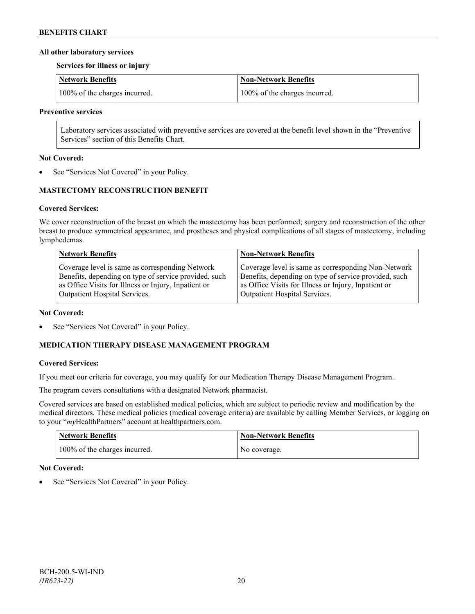### **All other laboratory services**

**Services for illness or injury**

| Network Benefits              | <b>Non-Network Benefits</b>   |
|-------------------------------|-------------------------------|
| 100% of the charges incurred. | 100% of the charges incurred. |

#### **Preventive services**

Laboratory services associated with preventive services are covered at the benefit level shown in the "Preventive Services" section of this Benefits Chart.

### **Not Covered:**

See "Services Not Covered" in your Policy.

# **MASTECTOMY RECONSTRUCTION BENEFIT**

# **Covered Services:**

We cover reconstruction of the breast on which the mastectomy has been performed; surgery and reconstruction of the other breast to produce symmetrical appearance, and prostheses and physical complications of all stages of mastectomy, including lymphedemas.

| <b>Network Benefits</b>                               | <b>Non-Network Benefits</b>                           |
|-------------------------------------------------------|-------------------------------------------------------|
| Coverage level is same as corresponding Network       | Coverage level is same as corresponding Non-Network   |
| Benefits, depending on type of service provided, such | Benefits, depending on type of service provided, such |
| as Office Visits for Illness or Injury, Inpatient or  | as Office Visits for Illness or Injury, Inpatient or  |
| Outpatient Hospital Services.                         | Outpatient Hospital Services.                         |

#### **Not Covered:**

See "Services Not Covered" in your Policy.

# **MEDICATION THERAPY DISEASE MANAGEMENT PROGRAM**

# **Covered Services:**

If you meet our criteria for coverage, you may qualify for our Medication Therapy Disease Management Program.

The program covers consultations with a designated Network pharmacist.

Covered services are based on established medical policies, which are subject to periodic review and modification by the medical directors. These medical policies (medical coverage criteria) are available by calling Member Services, or logging on to your "*my*HealthPartners" account at [healthpartners.com.](http://www.healthpartners.com/)

| <b>Network Benefits</b>       | <b>Non-Network Benefits</b> |
|-------------------------------|-----------------------------|
| 100% of the charges incurred. | No coverage.                |

# **Not Covered:**

See "Services Not Covered" in your Policy.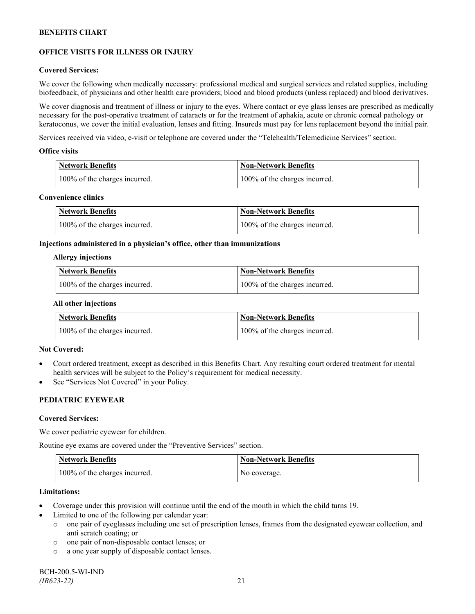# **OFFICE VISITS FOR ILLNESS OR INJURY**

### **Covered Services:**

We cover the following when medically necessary: professional medical and surgical services and related supplies, including biofeedback, of physicians and other health care providers; blood and blood products (unless replaced) and blood derivatives.

We cover diagnosis and treatment of illness or injury to the eyes. Where contact or eye glass lenses are prescribed as medically necessary for the post-operative treatment of cataracts or for the treatment of aphakia, acute or chronic corneal pathology or keratoconus, we cover the initial evaluation, lenses and fitting. Insureds must pay for lens replacement beyond the initial pair.

Services received via video, e-visit or telephone are covered under the "Telehealth/Telemedicine Services" section.

#### **Office visits**

| Network Benefits              | <b>Non-Network Benefits</b>   |
|-------------------------------|-------------------------------|
| 100% of the charges incurred. | 100% of the charges incurred. |

### **Convenience clinics**

| <b>Network Benefits</b>       | <b>Non-Network Benefits</b>   |
|-------------------------------|-------------------------------|
| 100% of the charges incurred. | 100% of the charges incurred. |

#### **Injections administered in a physician's office, other than immunizations**

#### **Allergy injections**

| <b>Network Benefits</b>       | Non-Network Benefits          |
|-------------------------------|-------------------------------|
| 100% of the charges incurred. | 100% of the charges incurred. |

#### **All other injections**

| <b>Network Benefits</b>       | <b>Non-Network Benefits</b>   |
|-------------------------------|-------------------------------|
| 100% of the charges incurred. | 100% of the charges incurred. |

# **Not Covered:**

- Court ordered treatment, except as described in this Benefits Chart. Any resulting court ordered treatment for mental health services will be subject to the Policy's requirement for medical necessity.
- See "Services Not Covered" in your Policy.

# **PEDIATRIC EYEWEAR**

#### **Covered Services:**

We cover pediatric eyewear for children.

Routine eye exams are covered under the "Preventive Services" section.

| <b>Network Benefits</b>       | <b>Non-Network Benefits</b> |
|-------------------------------|-----------------------------|
| 100% of the charges incurred. | No coverage.                |

#### **Limitations:**

- Coverage under this provision will continue until the end of the month in which the child turns 19.
- Limited to one of the following per calendar year:
	- o one pair of eyeglasses including one set of prescription lenses, frames from the designated eyewear collection, and anti scratch coating; or
	- o one pair of non-disposable contact lenses; or
	- o a one year supply of disposable contact lenses.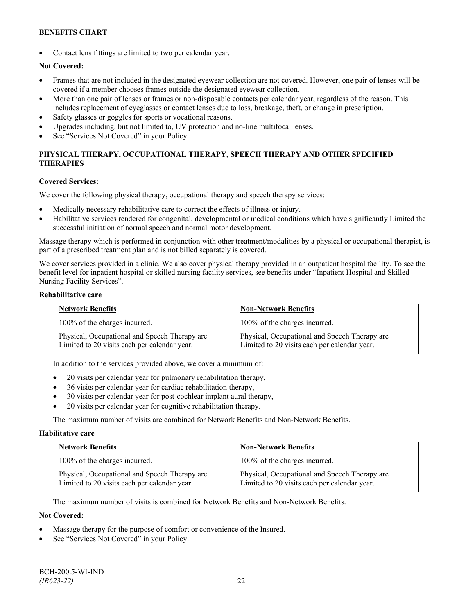Contact lens fittings are limited to two per calendar year.

# **Not Covered:**

- Frames that are not included in the designated eyewear collection are not covered. However, one pair of lenses will be covered if a member chooses frames outside the designated eyewear collection.
- More than one pair of lenses or frames or non-disposable contacts per calendar year, regardless of the reason. This includes replacement of eyeglasses or contact lenses due to loss, breakage, theft, or change in prescription.
- Safety glasses or goggles for sports or vocational reasons.
- Upgrades including, but not limited to, UV protection and no-line multifocal lenses.
- See "Services Not Covered" in your Policy.

# **PHYSICAL THERAPY, OCCUPATIONAL THERAPY, SPEECH THERAPY AND OTHER SPECIFIED THERAPIES**

#### **Covered Services:**

We cover the following physical therapy, occupational therapy and speech therapy services:

- Medically necessary rehabilitative care to correct the effects of illness or injury.
- Habilitative services rendered for congenital, developmental or medical conditions which have significantly Limited the successful initiation of normal speech and normal motor development.

Massage therapy which is performed in conjunction with other treatment/modalities by a physical or occupational therapist, is part of a prescribed treatment plan and is not billed separately is covered.

We cover services provided in a clinic. We also cover physical therapy provided in an outpatient hospital facility. To see the benefit level for inpatient hospital or skilled nursing facility services, see benefits under "Inpatient Hospital and Skilled Nursing Facility Services".

#### **Rehabilitative care**

| <b>Network Benefits</b>                                                                       | <b>Non-Network Benefits</b>                                                                   |
|-----------------------------------------------------------------------------------------------|-----------------------------------------------------------------------------------------------|
| 100% of the charges incurred.                                                                 | 100% of the charges incurred.                                                                 |
| Physical, Occupational and Speech Therapy are<br>Limited to 20 visits each per calendar year. | Physical, Occupational and Speech Therapy are<br>Limited to 20 visits each per calendar year. |

In addition to the services provided above, we cover a minimum of:

- 20 visits per calendar year for pulmonary rehabilitation therapy,
- 36 visits per calendar year for cardiac rehabilitation therapy,
- 30 visits per calendar year for post-cochlear implant aural therapy,
- 20 visits per calendar year for cognitive rehabilitation therapy.

The maximum number of visits are combined for Network Benefits and Non-Network Benefits.

#### **Habilitative care**

| <b>Network Benefits</b>                                                                       | <b>Non-Network Benefits</b>                                                                   |
|-----------------------------------------------------------------------------------------------|-----------------------------------------------------------------------------------------------|
| 100% of the charges incurred.                                                                 | 100% of the charges incurred.                                                                 |
| Physical, Occupational and Speech Therapy are<br>Limited to 20 visits each per calendar year. | Physical, Occupational and Speech Therapy are<br>Limited to 20 visits each per calendar year. |

The maximum number of visits is combined for Network Benefits and Non-Network Benefits.

# **Not Covered:**

- Massage therapy for the purpose of comfort or convenience of the Insured.
- See "Services Not Covered" in your Policy.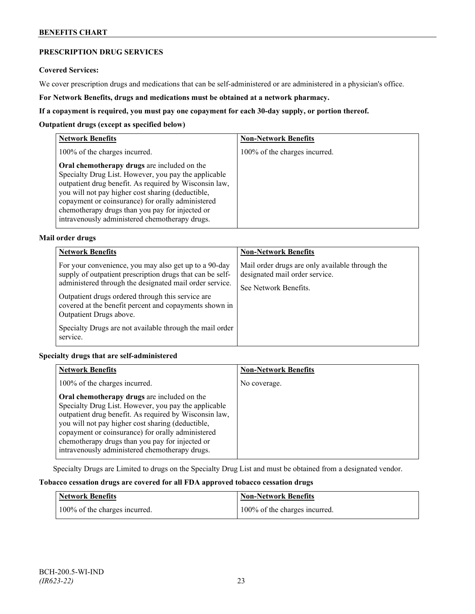# **PRESCRIPTION DRUG SERVICES**

#### **Covered Services:**

We cover prescription drugs and medications that can be self-administered or are administered in a physician's office.

**For Network Benefits, drugs and medications must be obtained at a network pharmacy.**

### **If a copayment is required, you must pay one copayment for each 30-day supply, or portion thereof.**

### **Outpatient drugs (except as specified below)**

| <b>Network Benefits</b>                                                                                                                                                                                                                                                                                                                                                      | <b>Non-Network Benefits</b>   |
|------------------------------------------------------------------------------------------------------------------------------------------------------------------------------------------------------------------------------------------------------------------------------------------------------------------------------------------------------------------------------|-------------------------------|
| 100% of the charges incurred.                                                                                                                                                                                                                                                                                                                                                | 100% of the charges incurred. |
| Oral chemotherapy drugs are included on the<br>Specialty Drug List. However, you pay the applicable<br>outpatient drug benefit. As required by Wisconsin law,<br>you will not pay higher cost sharing (deductible,<br>copayment or coinsurance) for orally administered<br>chemotherapy drugs than you pay for injected or<br>intravenously administered chemotherapy drugs. |                               |

# **Mail order drugs**

| <b>Network Benefits</b>                                                                                                                                                                                                                                                                                                                                                                         | <b>Non-Network Benefits</b>                                                                                |
|-------------------------------------------------------------------------------------------------------------------------------------------------------------------------------------------------------------------------------------------------------------------------------------------------------------------------------------------------------------------------------------------------|------------------------------------------------------------------------------------------------------------|
| For your convenience, you may also get up to a 90-day<br>supply of outpatient prescription drugs that can be self-<br>administered through the designated mail order service.<br>Outpatient drugs ordered through this service are<br>covered at the benefit percent and copayments shown in<br>Outpatient Drugs above.<br>Specialty Drugs are not available through the mail order<br>service. | Mail order drugs are only available through the<br>designated mail order service.<br>See Network Benefits. |

# **Specialty drugs that are self-administered**

| <b>Network Benefits</b>                                                                                                                                                                                                                                                                                                                                                      | <b>Non-Network Benefits</b> |
|------------------------------------------------------------------------------------------------------------------------------------------------------------------------------------------------------------------------------------------------------------------------------------------------------------------------------------------------------------------------------|-----------------------------|
| 100% of the charges incurred.                                                                                                                                                                                                                                                                                                                                                | No coverage.                |
| Oral chemotherapy drugs are included on the<br>Specialty Drug List. However, you pay the applicable<br>outpatient drug benefit. As required by Wisconsin law,<br>you will not pay higher cost sharing (deductible,<br>copayment or coinsurance) for orally administered<br>chemotherapy drugs than you pay for injected or<br>intravenously administered chemotherapy drugs. |                             |

Specialty Drugs are Limited to drugs on the Specialty Drug List and must be obtained from a designated vendor.

# **Tobacco cessation drugs are covered for all FDA approved tobacco cessation drugs**

| Network Benefits              | <b>Non-Network Benefits</b>   |
|-------------------------------|-------------------------------|
| 100% of the charges incurred. | 100% of the charges incurred. |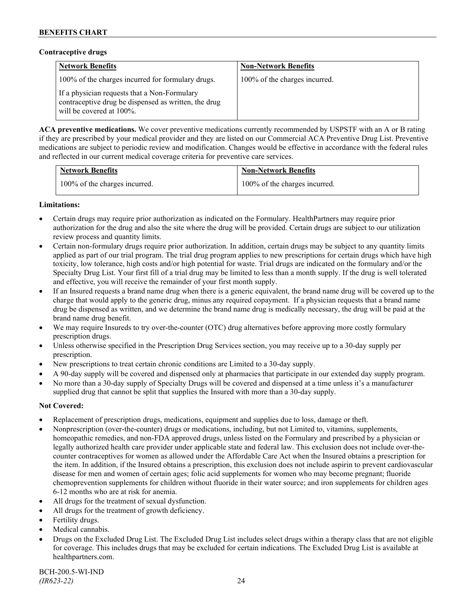### **Contraceptive drugs**

| <b>Network Benefits</b>                                                                                                              | <b>Non-Network Benefits</b>   |
|--------------------------------------------------------------------------------------------------------------------------------------|-------------------------------|
| 100% of the charges incurred for formulary drugs.                                                                                    | 100% of the charges incurred. |
| If a physician requests that a Non-Formulary<br>contraceptive drug be dispensed as written, the drug<br>will be covered at $100\%$ . |                               |

**ACA preventive medications.** We cover preventive medications currently recommended by USPSTF with an A or B rating if they are prescribed by your medical provider and they are listed on our Commercial ACA Preventive Drug List. Preventive medications are subject to periodic review and modification. Changes would be effective in accordance with the federal rules and reflected in our current medical coverage criteria for preventive care services.

| <b>Network Benefits</b>       | <b>Non-Network Benefits</b>   |
|-------------------------------|-------------------------------|
| 100% of the charges incurred. | 100% of the charges incurred. |

# **Limitations:**

- Certain drugs may require prior authorization as indicated on the Formulary. HealthPartners may require prior authorization for the drug and also the site where the drug will be provided. Certain drugs are subject to our utilization review process and quantity limits.
- Certain non-formulary drugs require prior authorization. In addition, certain drugs may be subject to any quantity limits applied as part of our trial program. The trial drug program applies to new prescriptions for certain drugs which have high toxicity, low tolerance, high costs and/or high potential for waste. Trial drugs are indicated on the formulary and/or the Specialty Drug List. Your first fill of a trial drug may be limited to less than a month supply. If the drug is well tolerated and effective, you will receive the remainder of your first month supply.
- If an Insured requests a brand name drug when there is a generic equivalent, the brand name drug will be covered up to the charge that would apply to the generic drug, minus any required copayment. If a physician requests that a brand name drug be dispensed as written, and we determine the brand name drug is medically necessary, the drug will be paid at the brand name drug benefit.
- We may require Insureds to try over-the-counter (OTC) drug alternatives before approving more costly formulary prescription drugs.
- Unless otherwise specified in the Prescription Drug Services section, you may receive up to a 30-day supply per prescription.
- New prescriptions to treat certain chronic conditions are Limited to a 30-day supply.
- A 90-day supply will be covered and dispensed only at pharmacies that participate in our extended day supply program.
- No more than a 30-day supply of Specialty Drugs will be covered and dispensed at a time unless it's a manufacturer supplied drug that cannot be split that supplies the Insured with more than a 30-day supply.

# **Not Covered:**

- Replacement of prescription drugs, medications, equipment and supplies due to loss, damage or theft.
- Nonprescription (over-the-counter) drugs or medications, including, but not Limited to, vitamins, supplements, homeopathic remedies, and non-FDA approved drugs, unless listed on the Formulary and prescribed by a physician or legally authorized health care provider under applicable state and federal law. This exclusion does not include over-thecounter contraceptives for women as allowed under the Affordable Care Act when the Insured obtains a prescription for the item. In addition, if the Insured obtains a prescription, this exclusion does not include aspirin to prevent cardiovascular disease for men and women of certain ages; folic acid supplements for women who may become pregnant; fluoride chemoprevention supplements for children without fluoride in their water source; and iron supplements for children ages 6-12 months who are at risk for anemia.
- All drugs for the treatment of sexual dysfunction.
- All drugs for the treatment of growth deficiency.
- Fertility drugs.
- Medical cannabis.
- Drugs on the Excluded Drug List. The Excluded Drug List includes select drugs within a therapy class that are not eligible for coverage. This includes drugs that may be excluded for certain indications. The Excluded Drug List is available at [healthpartners.com.](http://www.healthpartners.com/)

BCH-200.5-WI-IND *(IR623-22)* 24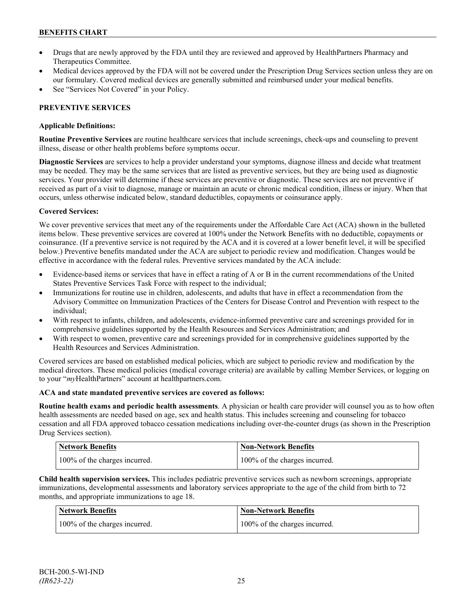- Drugs that are newly approved by the FDA until they are reviewed and approved by HealthPartners Pharmacy and Therapeutics Committee.
- Medical devices approved by the FDA will not be covered under the Prescription Drug Services section unless they are on our formulary. Covered medical devices are generally submitted and reimbursed under your medical benefits.
- See "Services Not Covered" in your Policy.

# **PREVENTIVE SERVICES**

# **Applicable Definitions:**

**Routine Preventive Services** are routine healthcare services that include screenings, check-ups and counseling to prevent illness, disease or other health problems before symptoms occur.

**Diagnostic Services** are services to help a provider understand your symptoms, diagnose illness and decide what treatment may be needed. They may be the same services that are listed as preventive services, but they are being used as diagnostic services. Your provider will determine if these services are preventive or diagnostic. These services are not preventive if received as part of a visit to diagnose, manage or maintain an acute or chronic medical condition, illness or injury. When that occurs, unless otherwise indicated below, standard deductibles, copayments or coinsurance apply.

# **Covered Services:**

We cover preventive services that meet any of the requirements under the Affordable Care Act (ACA) shown in the bulleted items below. These preventive services are covered at 100% under the Network Benefits with no deductible, copayments or coinsurance. (If a preventive service is not required by the ACA and it is covered at a lower benefit level, it will be specified below.) Preventive benefits mandated under the ACA are subject to periodic review and modification. Changes would be effective in accordance with the federal rules. Preventive services mandated by the ACA include:

- Evidence-based items or services that have in effect a rating of A or B in the current recommendations of the United States Preventive Services Task Force with respect to the individual;
- Immunizations for routine use in children, adolescents, and adults that have in effect a recommendation from the Advisory Committee on Immunization Practices of the Centers for Disease Control and Prevention with respect to the individual;
- With respect to infants, children, and adolescents, evidence-informed preventive care and screenings provided for in comprehensive guidelines supported by the Health Resources and Services Administration; and
- With respect to women, preventive care and screenings provided for in comprehensive guidelines supported by the Health Resources and Services Administration.

Covered services are based on established medical policies, which are subject to periodic review and modification by the medical directors. These medical policies (medical coverage criteria) are available by calling Member Services, or logging on to your "*my*HealthPartners" account at [healthpartners.com.](http://www.healthpartners.com/)

# **ACA and state mandated preventive services are covered as follows:**

**Routine health exams and periodic health assessments**. A physician or health care provider will counsel you as to how often health assessments are needed based on age, sex and health status. This includes screening and counseling for tobacco cessation and all FDA approved tobacco cessation medications including over-the-counter drugs (as shown in the Prescription Drug Services section).

| <b>Network Benefits</b>       | Non-Network Benefits          |
|-------------------------------|-------------------------------|
| 100% of the charges incurred. | 100% of the charges incurred. |

**Child health supervision services.** This includes pediatric preventive services such as newborn screenings, appropriate immunizations, developmental assessments and laboratory services appropriate to the age of the child from birth to 72 months, and appropriate immunizations to age 18.

| Network Benefits              | <b>Non-Network Benefits</b>   |
|-------------------------------|-------------------------------|
| 100% of the charges incurred. | 100% of the charges incurred. |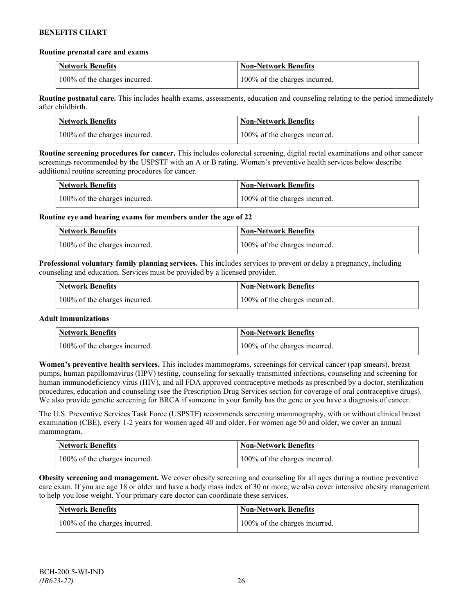#### **Routine prenatal care and exams**

| <b>Network Benefits</b>       | <b>Non-Network Benefits</b>   |
|-------------------------------|-------------------------------|
| 100% of the charges incurred. | 100% of the charges incurred. |

**Routine postnatal care.** This includes health exams, assessments, education and counseling relating to the period immediately after childbirth.

| <b>Network Benefits</b>       | Non-Network Benefits          |
|-------------------------------|-------------------------------|
| 100% of the charges incurred. | 100% of the charges incurred. |

**Routine screening procedures for cancer.** This includes colorectal screening, digital rectal examinations and other cancer screenings recommended by the USPSTF with an A or B rating. Women's preventive health services below describe additional routine screening procedures for cancer.

| Network Benefits              | <b>Non-Network Benefits</b>   |
|-------------------------------|-------------------------------|
| 100% of the charges incurred. | 100% of the charges incurred. |

**Routine eye and hearing exams for members under the age of 22**

| <b>Network Benefits</b>       | <b>Non-Network Benefits</b>   |
|-------------------------------|-------------------------------|
| 100% of the charges incurred. | 100% of the charges incurred. |

**Professional voluntary family planning services.** This includes services to prevent or delay a pregnancy, including counseling and education. Services must be provided by a licensed provider.

| Network Benefits              | <b>Non-Network Benefits</b>   |
|-------------------------------|-------------------------------|
| 100% of the charges incurred. | 100% of the charges incurred. |

# **Adult immunizations**

| <b>Network Benefits</b>       | <b>Non-Network Benefits</b>   |
|-------------------------------|-------------------------------|
| 100% of the charges incurred. | 100% of the charges incurred. |

**Women's preventive health services.** This includes mammograms, screenings for cervical cancer (pap smears), breast pumps, human papillomavirus (HPV) testing, counseling for sexually transmitted infections, counseling and screening for human immunodeficiency virus (HIV), and all FDA approved contraceptive methods as prescribed by a doctor, sterilization procedures, education and counseling (see the Prescription Drug Services section for coverage of oral contraceptive drugs). We also provide genetic screening for BRCA if someone in your family has the gene or you have a diagnosis of cancer.

The U.S. Preventive Services Task Force (USPSTF) recommends screening mammography, with or without clinical breast examination (CBE), every 1-2 years for women aged 40 and older. For women age 50 and older, we cover an annual mammogram.

| <b>Network Benefits</b>       | <b>Non-Network Benefits</b>   |
|-------------------------------|-------------------------------|
| 100% of the charges incurred. | 100% of the charges incurred. |

**Obesity screening and management.** We cover obesity screening and counseling for all ages during a routine preventive care exam. If you are age 18 or older and have a body mass index of 30 or more, we also cover intensive obesity management to help you lose weight. Your primary care doctor can coordinate these services.

| Network Benefits              | <b>Non-Network Benefits</b>   |
|-------------------------------|-------------------------------|
| 100% of the charges incurred. | 100% of the charges incurred. |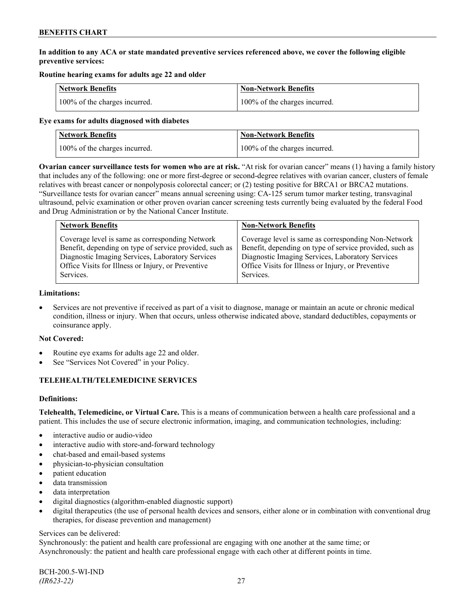# **In addition to any ACA or state mandated preventive services referenced above, we cover the following eligible preventive services:**

# **Routine hearing exams for adults age 22 and older**

| <b>Network Benefits</b>       | <b>Non-Network Benefits</b>   |
|-------------------------------|-------------------------------|
| 100% of the charges incurred. | 100% of the charges incurred. |

#### **Eye exams for adults diagnosed with diabetes**

| Network Benefits              | <b>Non-Network Benefits</b>   |
|-------------------------------|-------------------------------|
| 100% of the charges incurred. | 100% of the charges incurred. |

**Ovarian cancer surveillance tests for women who are at risk.** "At risk for ovarian cancer" means (1) having a family history that includes any of the following: one or more first-degree or second-degree relatives with ovarian cancer, clusters of female relatives with breast cancer or nonpolyposis colorectal cancer; or (2) testing positive for BRCA1 or BRCA2 mutations. "Surveillance tests for ovarian cancer" means annual screening using: CA-125 serum tumor marker testing, transvaginal ultrasound, pelvic examination or other proven ovarian cancer screening tests currently being evaluated by the federal Food and Drug Administration or by the National Cancer Institute.

| <b>Network Benefits</b>                                 | <b>Non-Network Benefits</b>                             |
|---------------------------------------------------------|---------------------------------------------------------|
| Coverage level is same as corresponding Network         | Coverage level is same as corresponding Non-Network     |
| Benefit, depending on type of service provided, such as | Benefit, depending on type of service provided, such as |
| Diagnostic Imaging Services, Laboratory Services        | Diagnostic Imaging Services, Laboratory Services        |
| Office Visits for Illness or Injury, or Preventive      | Office Visits for Illness or Injury, or Preventive      |
| Services.                                               | Services.                                               |

#### **Limitations:**

• Services are not preventive if received as part of a visit to diagnose, manage or maintain an acute or chronic medical condition, illness or injury. When that occurs, unless otherwise indicated above, standard deductibles, copayments or coinsurance apply.

# **Not Covered:**

- Routine eye exams for adults age 22 and older.
- See "Services Not Covered" in your Policy.

# **TELEHEALTH/TELEMEDICINE SERVICES**

# **Definitions:**

**Telehealth, Telemedicine, or Virtual Care.** This is a means of communication between a health care professional and a patient. This includes the use of secure electronic information, imaging, and communication technologies, including:

- interactive audio or audio-video
- interactive audio with store-and-forward technology
- chat-based and email-based systems
- physician-to-physician consultation
- patient education
- data transmission
- data interpretation
- digital diagnostics (algorithm-enabled diagnostic support)
- digital therapeutics (the use of personal health devices and sensors, either alone or in combination with conventional drug therapies, for disease prevention and management)

#### Services can be delivered:

Synchronously: the patient and health care professional are engaging with one another at the same time; or Asynchronously: the patient and health care professional engage with each other at different points in time.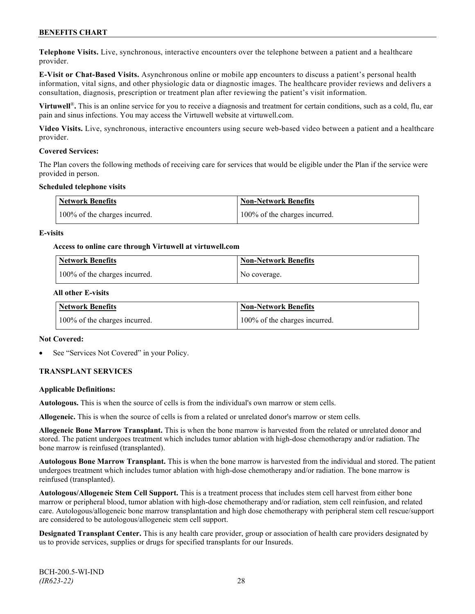**Telephone Visits.** Live, synchronous, interactive encounters over the telephone between a patient and a healthcare provider.

**E-Visit or Chat-Based Visits.** Asynchronous online or mobile app encounters to discuss a patient's personal health information, vital signs, and other physiologic data or diagnostic images. The healthcare provider reviews and delivers a consultation, diagnosis, prescription or treatment plan after reviewing the patient's visit information.

**Virtuwell<sup>®</sup>**. This is an online service for you to receive a diagnosis and treatment for certain conditions, such as a cold, flu, ear pain and sinus infections. You may access the Virtuwell website at [virtuwell.com.](https://www.virtuwell.com/)

**Video Visits.** Live, synchronous, interactive encounters using secure web-based video between a patient and a healthcare provider.

#### **Covered Services:**

The Plan covers the following methods of receiving care for services that would be eligible under the Plan if the service were provided in person.

#### **Scheduled telephone visits**

| <b>Network Benefits</b>       | <b>Non-Network Benefits</b>   |
|-------------------------------|-------------------------------|
| 100% of the charges incurred. | 100% of the charges incurred. |

#### **E-visits**

#### **Access to online care through Virtuwell at [virtuwell.com](http://www.virtuwell.com/)**

| Network Benefits              | <b>Non-Network Benefits</b> |
|-------------------------------|-----------------------------|
| 100% of the charges incurred. | No coverage.                |

#### **All other E-visits**

| Network Benefits              | <b>Non-Network Benefits</b>   |
|-------------------------------|-------------------------------|
| 100% of the charges incurred. | 100% of the charges incurred. |

#### **Not Covered:**

See "Services Not Covered" in your Policy.

# **TRANSPLANT SERVICES**

#### **Applicable Definitions:**

**Autologous.** This is when the source of cells is from the individual's own marrow or stem cells.

**Allogeneic.** This is when the source of cells is from a related or unrelated donor's marrow or stem cells.

**Allogeneic Bone Marrow Transplant.** This is when the bone marrow is harvested from the related or unrelated donor and stored. The patient undergoes treatment which includes tumor ablation with high-dose chemotherapy and/or radiation. The bone marrow is reinfused (transplanted).

**Autologous Bone Marrow Transplant.** This is when the bone marrow is harvested from the individual and stored. The patient undergoes treatment which includes tumor ablation with high-dose chemotherapy and/or radiation. The bone marrow is reinfused (transplanted).

**Autologous/Allogeneic Stem Cell Support.** This is a treatment process that includes stem cell harvest from either bone marrow or peripheral blood, tumor ablation with high-dose chemotherapy and/or radiation, stem cell reinfusion, and related care. Autologous/allogeneic bone marrow transplantation and high dose chemotherapy with peripheral stem cell rescue/support are considered to be autologous/allogeneic stem cell support.

**Designated Transplant Center.** This is any health care provider, group or association of health care providers designated by us to provide services, supplies or drugs for specified transplants for our Insureds.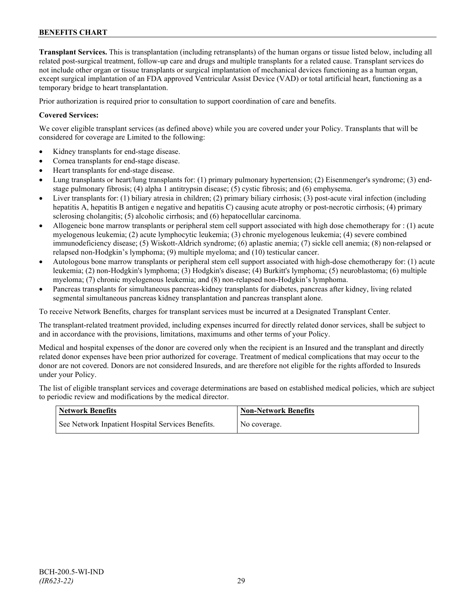**Transplant Services.** This is transplantation (including retransplants) of the human organs or tissue listed below, including all related post-surgical treatment, follow-up care and drugs and multiple transplants for a related cause. Transplant services do not include other organ or tissue transplants or surgical implantation of mechanical devices functioning as a human organ, except surgical implantation of an FDA approved Ventricular Assist Device (VAD) or total artificial heart, functioning as a temporary bridge to heart transplantation.

Prior authorization is required prior to consultation to support coordination of care and benefits.

### **Covered Services:**

We cover eligible transplant services (as defined above) while you are covered under your Policy. Transplants that will be considered for coverage are Limited to the following:

- Kidney transplants for end-stage disease.
- Cornea transplants for end-stage disease.
- Heart transplants for end-stage disease.
- Lung transplants or heart/lung transplants for: (1) primary pulmonary hypertension; (2) Eisenmenger's syndrome; (3) endstage pulmonary fibrosis; (4) alpha 1 antitrypsin disease; (5) cystic fibrosis; and (6) emphysema.
- Liver transplants for: (1) biliary atresia in children; (2) primary biliary cirrhosis; (3) post-acute viral infection (including hepatitis A, hepatitis B antigen e negative and hepatitis C) causing acute atrophy or post-necrotic cirrhosis; (4) primary sclerosing cholangitis; (5) alcoholic cirrhosis; and (6) hepatocellular carcinoma.
- Allogeneic bone marrow transplants or peripheral stem cell support associated with high dose chemotherapy for : (1) acute myelogenous leukemia; (2) acute lymphocytic leukemia; (3) chronic myelogenous leukemia; (4) severe combined immunodeficiency disease; (5) Wiskott-Aldrich syndrome; (6) aplastic anemia; (7) sickle cell anemia; (8) non-relapsed or relapsed non-Hodgkin's lymphoma; (9) multiple myeloma; and (10) testicular cancer.
- Autologous bone marrow transplants or peripheral stem cell support associated with high-dose chemotherapy for: (1) acute leukemia; (2) non-Hodgkin's lymphoma; (3) Hodgkin's disease; (4) Burkitt's lymphoma; (5) neuroblastoma; (6) multiple myeloma; (7) chronic myelogenous leukemia; and (8) non-relapsed non-Hodgkin's lymphoma.
- Pancreas transplants for simultaneous pancreas-kidney transplants for diabetes, pancreas after kidney, living related segmental simultaneous pancreas kidney transplantation and pancreas transplant alone.

To receive Network Benefits, charges for transplant services must be incurred at a Designated Transplant Center.

The transplant-related treatment provided, including expenses incurred for directly related donor services, shall be subject to and in accordance with the provisions, limitations, maximums and other terms of your Policy.

Medical and hospital expenses of the donor are covered only when the recipient is an Insured and the transplant and directly related donor expenses have been prior authorized for coverage. Treatment of medical complications that may occur to the donor are not covered. Donors are not considered Insureds, and are therefore not eligible for the rights afforded to Insureds under your Policy.

The list of eligible transplant services and coverage determinations are based on established medical policies, which are subject to periodic review and modifications by the medical director.

| <b>Network Benefits</b>                           | <b>Non-Network Benefits</b> |
|---------------------------------------------------|-----------------------------|
| See Network Inpatient Hospital Services Benefits. | No coverage.                |